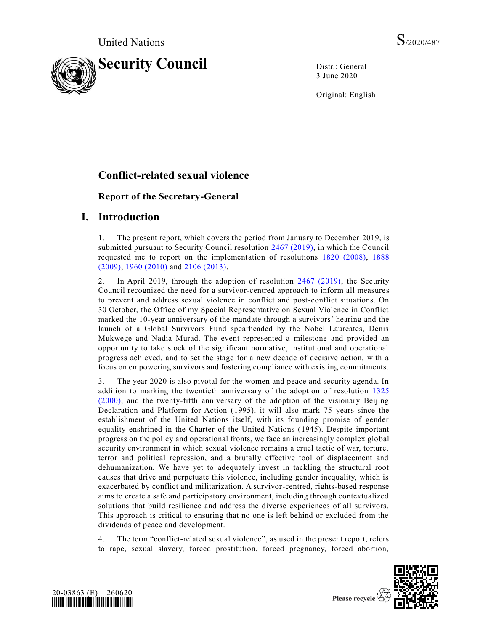

3 June 2020

Original: English

# **Conflict-related sexual violence**

## **Report of the Secretary-General**

## **I. Introduction**

1. The present report, which covers the period from January to December 2019, is submitted pursuant to Security Council resolution [2467 \(2019\),](https://undocs.org/en/S/RES/2467(2019)) in which the Council requested me to report on the implementation of resolutions [1820 \(2008\),](https://undocs.org/en/S/RES/1820(2008)) [1888](https://undocs.org/en/S/RES/1888(2009))  [\(2009\),](https://undocs.org/en/S/RES/1888(2009)) [1960 \(2010\)](https://undocs.org/en/S/RES/1960(2010)) and [2106 \(2013\).](https://undocs.org/en/S/RES/2106(2013))

2. In April 2019, through the adoption of resolution [2467 \(2019\),](https://undocs.org/en/S/RES/2467(2019)) the Security Council recognized the need for a survivor-centred approach to inform all measures to prevent and address sexual violence in conflict and post-conflict situations. On 30 October, the Office of my Special Representative on Sexual Violence in Conflict marked the 10-year anniversary of the mandate through a survivors' hearing and the launch of a Global Survivors Fund spearheaded by the Nobel Laureates, Denis Mukwege and Nadia Murad. The event represented a milestone and provided an opportunity to take stock of the significant normative, institutional and operational progress achieved, and to set the stage for a new decade of decisive action, with a focus on empowering survivors and fostering compliance with existing commitments.

3. The year 2020 is also pivotal for the women and peace and security agenda. In addition to marking the twentieth anniversary of the adoption of resolution [1325](https://undocs.org/en/S/RES/1325(2000))  [\(2000\),](https://undocs.org/en/S/RES/1325(2000)) and the twenty-fifth anniversary of the adoption of the visionary Beijing Declaration and Platform for Action (1995), it will also mark 75 years since the establishment of the United Nations itself, with its founding promise of gender equality enshrined in the Charter of the United Nations (1945). Despite important progress on the policy and operational fronts, we face an increasingly complex global security environment in which sexual violence remains a cruel tactic of war, torture, terror and political repression, and a brutally effective tool of displacement and dehumanization. We have yet to adequately invest in tackling the structural root causes that drive and perpetuate this violence, including gender inequality, which is exacerbated by conflict and militarization. A survivor-centred, rights-based response aims to create a safe and participatory environment, including through contextualized solutions that build resilience and address the diverse experiences of all survivors. This approach is critical to ensuring that no one is left behind or excluded from the dividends of peace and development.

4. The term "conflict-related sexual violence", as used in the present report, refers to rape, sexual slavery, forced prostitution, forced pregnancy, forced abortion,



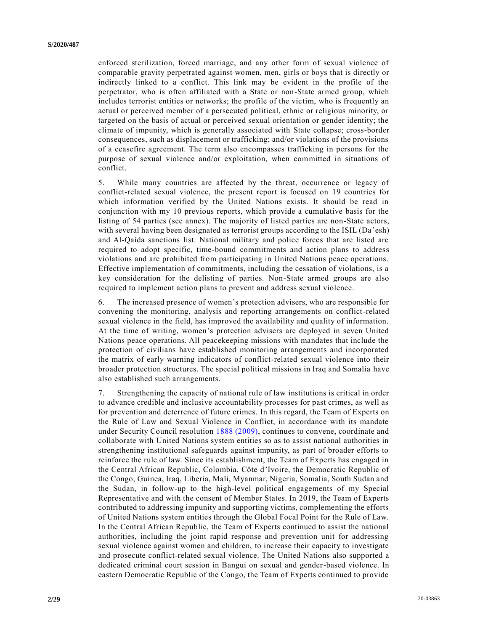enforced sterilization, forced marriage, and any other form of sexual violence of comparable gravity perpetrated against women, men, girls or boys that is directly or indirectly linked to a conflict. This link may be evident in the profile of the perpetrator, who is often affiliated with a State or non-State armed group, which includes terrorist entities or networks; the profile of the victim, who is frequently an actual or perceived member of a persecuted political, ethnic or religious minority, or targeted on the basis of actual or perceived sexual orientation or gender identity; the climate of impunity, which is generally associated with State collapse; cross-border consequences, such as displacement or trafficking; and/or violations of the provisions of a ceasefire agreement. The term also encompasses trafficking in persons for the purpose of sexual violence and/or exploitation, when committed in situations of conflict.

5. While many countries are affected by the threat, occurrence or legacy of conflict-related sexual violence, the present report is focused on 19 countries for which information verified by the United Nations exists. It should be read in conjunction with my 10 previous reports, which provide a cumulative basis for the listing of 54 parties (see annex). The majority of listed parties are non-State actors, with several having been designated as terrorist groups according to the ISIL (Da'esh) and Al-Qaida sanctions list. National military and police forces that are listed are required to adopt specific, time-bound commitments and action plans to address violations and are prohibited from participating in United Nations peace operations. Effective implementation of commitments, including the cessation of violations, is a key consideration for the delisting of parties. Non-State armed groups are also required to implement action plans to prevent and address sexual violence.

6. The increased presence of women's protection advisers, who are responsible for convening the monitoring, analysis and reporting arrangements on conflict-related sexual violence in the field, has improved the availability and quality of information. At the time of writing, women's protection advisers are deployed in seven United Nations peace operations. All peacekeeping missions with mandates that include the protection of civilians have established monitoring arrangements and incorporated the matrix of early warning indicators of conflict-related sexual violence into their broader protection structures. The special political missions in Iraq and Somalia have also established such arrangements.

7. Strengthening the capacity of national rule of law institutions is critical in order to advance credible and inclusive accountability processes for past crimes, as well as for prevention and deterrence of future crimes. In this regard, the Team of Experts on the Rule of Law and Sexual Violence in Conflict, in accordance with its mandate under Security Council resolution [1888 \(2009\),](https://undocs.org/en/S/RES/1888(2009)) continues to convene, coordinate and collaborate with United Nations system entities so as to assist national authorities in strengthening institutional safeguards against impunity, as part of broader efforts to reinforce the rule of law. Since its establishment, the Team of Experts has engaged in the Central African Republic, Colombia, Côte d'Ivoire, the Democratic Republic of the Congo, Guinea, Iraq, Liberia, Mali, Myanmar, Nigeria, Somalia, South Sudan and the Sudan, in follow-up to the high-level political engagements of my Special Representative and with the consent of Member States. In 2019, the Team of Experts contributed to addressing impunity and supporting victims, complementing the efforts of United Nations system entities through the Global Focal Point for the Rule of Law. In the Central African Republic, the Team of Experts continued to assist the national authorities, including the joint rapid response and prevention unit for addressing sexual violence against women and children, to increase their capacity to investigate and prosecute conflict-related sexual violence. The United Nations also supported a dedicated criminal court session in Bangui on sexual and gender-based violence. In eastern Democratic Republic of the Congo, the Team of Experts continued to provide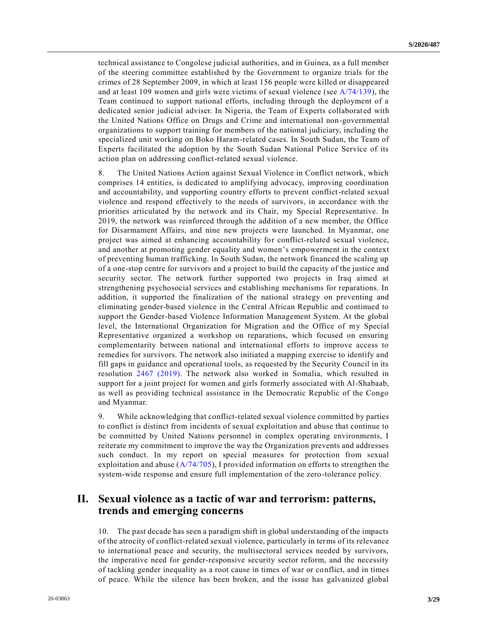technical assistance to Congolese judicial authorities, and in Guinea, as a full member of the steering committee established by the Government to organize trials for the crimes of 28 September 2009, in which at least 156 people were killed or disappeared and at least 109 women and girls were victims of sexual violence (see [A/74/139\)](https://undocs.org/en/A/74/139), the Team continued to support national efforts, including through the deployment of a dedicated senior judicial adviser. In Nigeria, the Team of Experts collaborated with the United Nations Office on Drugs and Crime and international non-governmental organizations to support training for members of the national judiciary, including the specialized unit working on Boko Haram-related cases. In South Sudan, the Team of Experts facilitated the adoption by the South Sudan National Police Service of its action plan on addressing conflict-related sexual violence.

8. The United Nations Action against Sexual Violence in Conflict network, which comprises 14 entities, is dedicated to amplifying advocacy, improving coordination and accountability, and supporting country efforts to prevent conflict-related sexual violence and respond effectively to the needs of survivors, in accordance with the priorities articulated by the network and its Chair, my Special Representative. In 2019, the network was reinforced through the addition of a new member, the Office for Disarmament Affairs, and nine new projects were launched. In Myanmar, one project was aimed at enhancing accountability for conflict-related sexual violence, and another at promoting gender equality and women's empowerment in the context of preventing human trafficking. In South Sudan, the network financed the scaling up of a one-stop centre for survivors and a project to build the capacity of the justice and security sector. The network further supported two projects in Iraq aimed at strengthening psychosocial services and establishing mechanisms for reparations. In addition, it supported the finalization of the national strategy on preventing and eliminating gender-based violence in the Central African Republic and continued to support the Gender-based Violence Information Management System. At the global level, the International Organization for Migration and the Office of my Special Representative organized a workshop on reparations, which focused on ensuring complementarity between national and international efforts to improve access to remedies for survivors. The network also initiated a mapping exercise to identify and fill gaps in guidance and operational tools, as requested by the Security Council in its resolution [2467 \(2019\).](https://undocs.org/en/S/RES/2467(2019)) The network also worked in Somalia, which resulted in support for a joint project for women and girls formerly associated with Al-Shabaab, as well as providing technical assistance in the Democratic Republic of the Congo and Myanmar.

9. While acknowledging that conflict-related sexual violence committed by parties to conflict is distinct from incidents of sexual exploitation and abuse that continue to be committed by United Nations personnel in complex operating environments, I reiterate my commitment to improve the way the Organization prevents and addresses such conduct. In my report on special measures for protection from sexual exploitation and abuse  $(A/74/705)$ , I provided information on efforts to strengthen the system-wide response and ensure full implementation of the zero-tolerance policy.

# **II. Sexual violence as a tactic of war and terrorism: patterns, trends and emerging concerns**

10. The past decade has seen a paradigm shift in global understanding of the impacts of the atrocity of conflict-related sexual violence, particularly in terms of its relevance to international peace and security, the multisectoral services needed by survivors, the imperative need for gender-responsive security sector reform, and the necessity of tackling gender inequality as a root cause in times of war or conflict, and in times of peace. While the silence has been broken, and the issue has galvanized global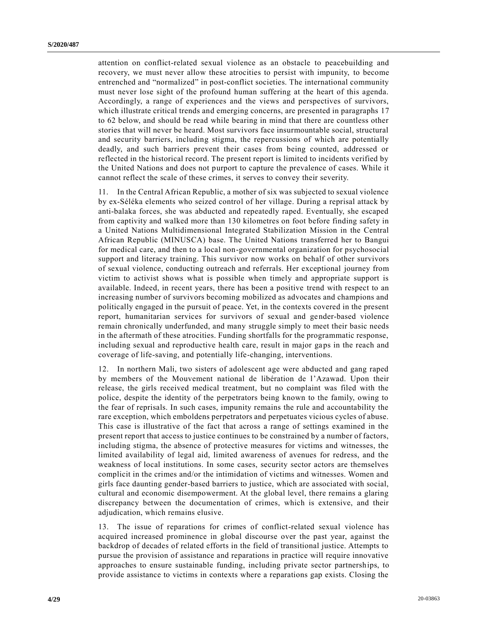attention on conflict-related sexual violence as an obstacle to peacebuilding and recovery, we must never allow these atrocities to persist with impunity, to become entrenched and "normalized" in post-conflict societies. The international community must never lose sight of the profound human suffering at the heart of this agenda. Accordingly, a range of experiences and the views and perspectives of survivors, which illustrate critical trends and emerging concerns, are presented in paragraphs 17 to 62 below, and should be read while bearing in mind that there are countless other stories that will never be heard. Most survivors face insurmountable social, structural and security barriers, including stigma, the repercussions of which are potentially deadly, and such barriers prevent their cases from being counted, addressed or reflected in the historical record. The present report is limited to incidents verified by the United Nations and does not purport to capture the prevalence of cases. While it cannot reflect the scale of these crimes, it serves to convey their severity.

11. In the Central African Republic, a mother of six was subjected to sexual violence by ex-Séléka elements who seized control of her village. During a reprisal attack by anti-balaka forces, she was abducted and repeatedly raped. Eventually, she escaped from captivity and walked more than 130 kilometres on foot before finding safety in a United Nations Multidimensional Integrated Stabilization Mission in the Central African Republic (MINUSCA) base. The United Nations transferred her to Bangui for medical care, and then to a local non-governmental organization for psychosocial support and literacy training. This survivor now works on behalf of other survivors of sexual violence, conducting outreach and referrals. Her exceptional journey from victim to activist shows what is possible when timely and appropriate support is available. Indeed, in recent years, there has been a positive trend with respect to an increasing number of survivors becoming mobilized as advocates and champions and politically engaged in the pursuit of peace. Yet, in the contexts covered in the present report, humanitarian services for survivors of sexual and gender-based violence remain chronically underfunded, and many struggle simply to meet their basic needs in the aftermath of these atrocities. Funding shortfalls for the programmatic response, including sexual and reproductive health care, result in major gaps in the reach and coverage of life-saving, and potentially life-changing, interventions.

12. In northern Mali, two sisters of adolescent age were abducted and gang raped by members of the Mouvement national de libération de l'Azawad. Upon their release, the girls received medical treatment, but no complaint was filed with the police, despite the identity of the perpetrators being known to the family, owing to the fear of reprisals. In such cases, impunity remains the rule and accountability the rare exception, which emboldens perpetrators and perpetuates vicious cycles of abuse. This case is illustrative of the fact that across a range of settings examined in the present report that access to justice continues to be constrained by a number of factors, including stigma, the absence of protective measures for victims and witnesses, the limited availability of legal aid, limited awareness of avenues for redress, and the weakness of local institutions. In some cases, security sector actors are themselves complicit in the crimes and/or the intimidation of victims and witnesses. Women and girls face daunting gender-based barriers to justice, which are associated with social, cultural and economic disempowerment. At the global level, there remains a glaring discrepancy between the documentation of crimes, which is extensive, and their adjudication, which remains elusive.

13. The issue of reparations for crimes of conflict-related sexual violence has acquired increased prominence in global discourse over the past year, against the backdrop of decades of related efforts in the field of transitional justice. Attempts to pursue the provision of assistance and reparations in practice will require innovative approaches to ensure sustainable funding, including private sector partnerships, to provide assistance to victims in contexts where a reparations gap exists. Closing the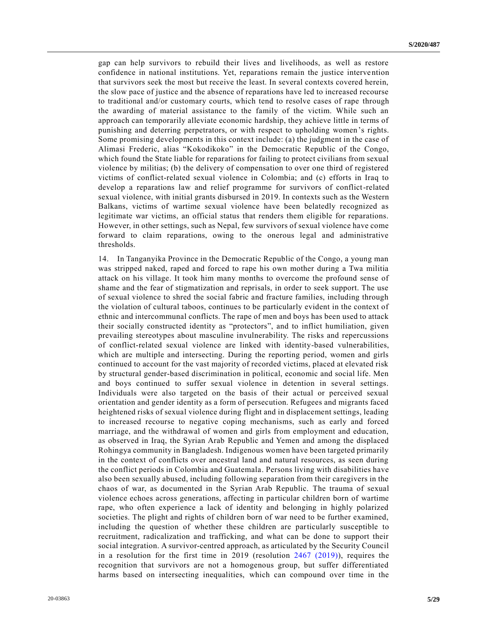gap can help survivors to rebuild their lives and livelihoods, as well as restore confidence in national institutions. Yet, reparations remain the justice interve ntion that survivors seek the most but receive the least. In several contexts covered herein, the slow pace of justice and the absence of reparations have led to increased recourse to traditional and/or customary courts, which tend to resolve cases of rape through the awarding of material assistance to the family of the victim. While such an approach can temporarily alleviate economic hardship, they achieve little in terms of punishing and deterring perpetrators, or with respect to upholding women's rights. Some promising developments in this context include: (a) the judgment in the case of Alimasi Frederic, alias "Kokodikoko" in the Democratic Republic of the Congo, which found the State liable for reparations for failing to protect civilians from sexual violence by militias; (b) the delivery of compensation to over one third of registered victims of conflict-related sexual violence in Colombia; and (c) efforts in Iraq to develop a reparations law and relief programme for survivors of conflict-related sexual violence, with initial grants disbursed in 2019. In contexts such as the Western Balkans, victims of wartime sexual violence have been belatedly recognized as legitimate war victims, an official status that renders them eligible for reparations. However, in other settings, such as Nepal, few survivors of sexual violence have come forward to claim reparations, owing to the onerous legal and administrative thresholds.

14. In Tanganyika Province in the Democratic Republic of the Congo, a young man was stripped naked, raped and forced to rape his own mother during a Twa militia attack on his village. It took him many months to overcome the profound sense of shame and the fear of stigmatization and reprisals, in order to seek support. The use of sexual violence to shred the social fabric and fracture families, including through the violation of cultural taboos, continues to be particularly evident in the context of ethnic and intercommunal conflicts. The rape of men and boys has been used to attack their socially constructed identity as "protectors", and to inflict humiliation, given prevailing stereotypes about masculine invulnerability. The risks and repercussions of conflict-related sexual violence are linked with identity-based vulnerabilities, which are multiple and intersecting. During the reporting period, women and girls continued to account for the vast majority of recorded victims, placed at elevated risk by structural gender-based discrimination in political, economic and social life. Men and boys continued to suffer sexual violence in detention in several settings. Individuals were also targeted on the basis of their actual or perceived sexual orientation and gender identity as a form of persecution. Refugees and migrants faced heightened risks of sexual violence during flight and in displacement settings, leading to increased recourse to negative coping mechanisms, such as early and forced marriage, and the withdrawal of women and girls from employment and education, as observed in Iraq, the Syrian Arab Republic and Yemen and among the displaced Rohingya community in Bangladesh. Indigenous women have been targeted primarily in the context of conflicts over ancestral land and natural resources, as seen during the conflict periods in Colombia and Guatemala. Persons living with disabilities have also been sexually abused, including following separation from their caregivers in the chaos of war, as documented in the Syrian Arab Republic. The trauma of sexual violence echoes across generations, affecting in particular children born of wartime rape, who often experience a lack of identity and belonging in highly polarized societies. The plight and rights of children born of war need to be further examined, including the question of whether these children are particularly susceptible to recruitment, radicalization and trafficking, and what can be done to support their social integration. A survivor-centred approach, as articulated by the Security Council in a resolution for the first time in 2019 (resolution [2467 \(2019\)\)](https://undocs.org/en/S/RES/2467(2019)), requires the recognition that survivors are not a homogenous group, but suffer differentiated harms based on intersecting inequalities, which can compound over time in the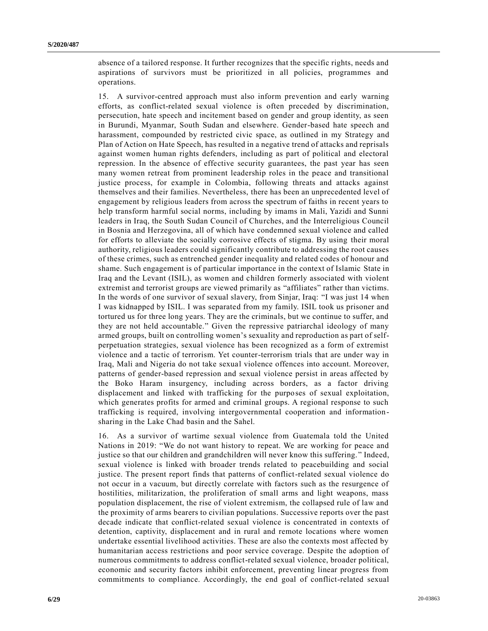absence of a tailored response. It further recognizes that the specific rights, needs and aspirations of survivors must be prioritized in all policies, programmes and operations.

15. A survivor-centred approach must also inform prevention and early warning efforts, as conflict-related sexual violence is often preceded by discrimination, persecution, hate speech and incitement based on gender and group identity, as seen in Burundi, Myanmar, South Sudan and elsewhere. Gender-based hate speech and harassment, compounded by restricted civic space, as outlined in my Strategy and Plan of Action on Hate Speech, has resulted in a negative trend of attacks and reprisals against women human rights defenders, including as part of political and electoral repression. In the absence of effective security guarantees, the past year has seen many women retreat from prominent leadership roles in the peace and transitional justice process, for example in Colombia, following threats and attacks against themselves and their families. Nevertheless, there has been an unprecedented level of engagement by religious leaders from across the spectrum of faiths in recent years to help transform harmful social norms, including by imams in Mali, Yazidi and Sunni leaders in Iraq, the South Sudan Council of Churches, and the Interreligious Council in Bosnia and Herzegovina, all of which have condemned sexual violence and called for efforts to alleviate the socially corrosive effects of stigma. By using their moral authority, religious leaders could significantly contribute to addressing the root causes of these crimes, such as entrenched gender inequality and related codes of honour and shame. Such engagement is of particular importance in the context of Islamic State in Iraq and the Levant (ISIL), as women and children formerly associated with violent extremist and terrorist groups are viewed primarily as "affiliates" rather than victims. In the words of one survivor of sexual slavery, from Sinjar, Iraq: "I was just 14 when I was kidnapped by ISIL. I was separated from my family. ISIL took us prisoner and tortured us for three long years. They are the criminals, but we continue to suffer, and they are not held accountable." Given the repressive patriarchal ideology of many armed groups, built on controlling women's sexuality and reproduction as part of selfperpetuation strategies, sexual violence has been recognized as a form of extremist violence and a tactic of terrorism. Yet counter-terrorism trials that are under way in Iraq, Mali and Nigeria do not take sexual violence offences into account. Moreover, patterns of gender-based repression and sexual violence persist in areas affected by the Boko Haram insurgency, including across borders, as a factor driving displacement and linked with trafficking for the purposes of sexual exploitation, which generates profits for armed and criminal groups. A regional response to such trafficking is required, involving intergovernmental cooperation and informationsharing in the Lake Chad basin and the Sahel.

16. As a survivor of wartime sexual violence from Guatemala told the United Nations in 2019: "We do not want history to repeat. We are working for peace and justice so that our children and grandchildren will never know this suffering. " Indeed, sexual violence is linked with broader trends related to peacebuilding and social justice. The present report finds that patterns of conflict-related sexual violence do not occur in a vacuum, but directly correlate with factors such as the resurgence of hostilities, militarization, the proliferation of small arms and light weapons, mass population displacement, the rise of violent extremism, the collapsed rule of law and the proximity of arms bearers to civilian populations. Successive reports over the past decade indicate that conflict-related sexual violence is concentrated in contexts of detention, captivity, displacement and in rural and remote locations where women undertake essential livelihood activities. These are also the contexts most affected by humanitarian access restrictions and poor service coverage. Despite the adoption of numerous commitments to address conflict-related sexual violence, broader political, economic and security factors inhibit enforcement, preventing linear progress from commitments to compliance. Accordingly, the end goal of conflict-related sexual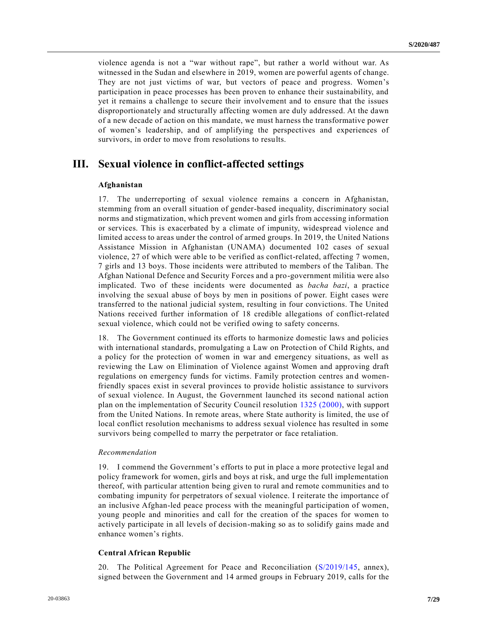violence agenda is not a "war without rape", but rather a world without war. As witnessed in the Sudan and elsewhere in 2019, women are powerful agents of change. They are not just victims of war, but vectors of peace and progress. Women's participation in peace processes has been proven to enhance their sustainability, and yet it remains a challenge to secure their involvement and to ensure that the issues disproportionately and structurally affecting women are duly addressed. At the dawn of a new decade of action on this mandate, we must harness the transformative power of women's leadership, and of amplifying the perspectives and experiences of survivors, in order to move from resolutions to results.

## **III. Sexual violence in conflict-affected settings**

#### **Afghanistan**

17. The underreporting of sexual violence remains a concern in Afghanistan, stemming from an overall situation of gender-based inequality, discriminatory social norms and stigmatization, which prevent women and girls from accessing information or services. This is exacerbated by a climate of impunity, widespread violence and limited access to areas under the control of armed groups. In 2019, the United Nations Assistance Mission in Afghanistan (UNAMA) documented 102 cases of sexual violence, 27 of which were able to be verified as conflict-related, affecting 7 women, 7 girls and 13 boys. Those incidents were attributed to members of the Taliban. The Afghan National Defence and Security Forces and a pro-government militia were also implicated. Two of these incidents were documented as *bacha bazi*, a practice involving the sexual abuse of boys by men in positions of power. Eight cases were transferred to the national judicial system, resulting in four convictions. The United Nations received further information of 18 credible allegations of conflict-related sexual violence, which could not be verified owing to safety concerns.

18. The Government continued its efforts to harmonize domestic laws and policies with international standards, promulgating a Law on Protection of Child Rights, and a policy for the protection of women in war and emergency situations, as well as reviewing the Law on Elimination of Violence against Women and approving draft regulations on emergency funds for victims. Family protection centres and womenfriendly spaces exist in several provinces to provide holistic assistance to survivors of sexual violence. In August, the Government launched its second national action plan on the implementation of Security Council resolution [1325 \(2000\),](https://undocs.org/en/S/RES/1325(2000)) with support from the United Nations. In remote areas, where State authority is limited, the use of local conflict resolution mechanisms to address sexual violence has resulted in some survivors being compelled to marry the perpetrator or face retaliation.

#### *Recommendation*

19. I commend the Government's efforts to put in place a more protective legal and policy framework for women, girls and boys at risk, and urge the full implementation thereof, with particular attention being given to rural and remote communities and to combating impunity for perpetrators of sexual violence. I reiterate the importance of an inclusive Afghan-led peace process with the meaningful participation of women, young people and minorities and call for the creation of the spaces for women to actively participate in all levels of decision-making so as to solidify gains made and enhance women's rights.

#### **Central African Republic**

20. The Political Agreement for Peace and Reconciliation [\(S/2019/145,](https://undocs.org/en/S/2019/145) annex), signed between the Government and 14 armed groups in February 2019, calls for the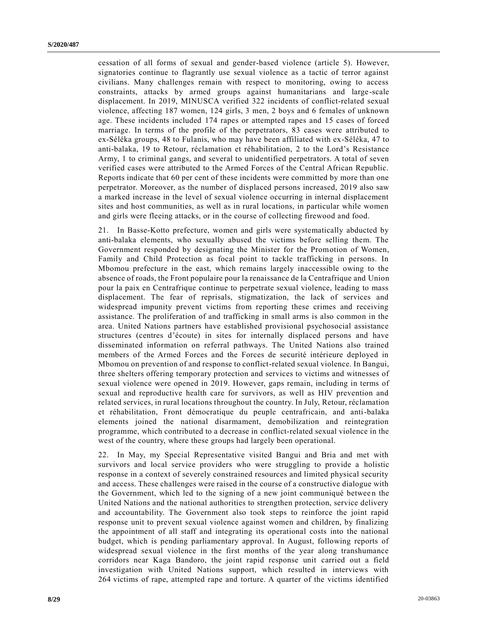cessation of all forms of sexual and gender-based violence (article 5). However, signatories continue to flagrantly use sexual violence as a tactic of terror against civilians. Many challenges remain with respect to monitoring, owing to access constraints, attacks by armed groups against humanitarians and large -scale displacement. In 2019, MINUSCA verified 322 incidents of conflict-related sexual violence, affecting 187 women, 124 girls, 3 men, 2 boys and 6 females of unknown age. These incidents included 174 rapes or attempted rapes and 15 cases of forced marriage. In terms of the profile of the perpetrators, 83 cases were attributed to ex-Séléka groups, 48 to Fulanis, who may have been affiliated with ex-Séléka, 47 to anti-balaka, 19 to Retour, réclamation et réhabilitation, 2 to the Lord's Resistance Army, 1 to criminal gangs, and several to unidentified perpetrators. A total of seven verified cases were attributed to the Armed Forces of the Central African Republic. Reports indicate that 60 per cent of these incidents were committed by more than one perpetrator. Moreover, as the number of displaced persons increased, 2019 also saw a marked increase in the level of sexual violence occurring in internal displacement sites and host communities, as well as in rural locations, in particular while women and girls were fleeing attacks, or in the course of collecting firewood and food.

21. In Basse-Kotto prefecture, women and girls were systematically abducted by anti-balaka elements, who sexually abused the victims before selling them. The Government responded by designating the Minister for the Promotion of Women, Family and Child Protection as focal point to tackle trafficking in persons. In Mbomou prefecture in the east, which remains largely inaccessible owing to the absence of roads, the Front populaire pour la renaissance de la Centrafrique and Union pour la paix en Centrafrique continue to perpetrate sexual violence, leading to mass displacement. The fear of reprisals, stigmatization, the lack of services and widespread impunity prevent victims from reporting these crimes and receiving assistance. The proliferation of and trafficking in small arms is also common in the area. United Nations partners have established provisional psychosocial assistance structures (centres d'écoute) in sites for internally displaced persons and have disseminated information on referral pathways. The United Nations also trained members of the Armed Forces and the Forces de securité intérieure deployed in Mbomou on prevention of and response to conflict-related sexual violence. In Bangui, three shelters offering temporary protection and services to victims and witnesses of sexual violence were opened in 2019. However, gaps remain, including in terms of sexual and reproductive health care for survivors, as well as HIV prevention and related services, in rural locations throughout the country. In July, Retour, réclamation et réhabilitation, Front démocratique du peuple centrafricain, and anti-balaka elements joined the national disarmament, demobilization and reintegration programme, which contributed to a decrease in conflict-related sexual violence in the west of the country, where these groups had largely been operational.

22. In May, my Special Representative visited Bangui and Bria and met with survivors and local service providers who were struggling to provide a holistic response in a context of severely constrained resources and limited physical security and access. These challenges were raised in the course of a constructive dialogue with the Government, which led to the signing of a new joint communiqué betwee n the United Nations and the national authorities to strengthen protection, service delivery and accountability. The Government also took steps to reinforce the joint rapid response unit to prevent sexual violence against women and children, by finalizing the appointment of all staff and integrating its operational costs into the national budget, which is pending parliamentary approval. In August, following reports of widespread sexual violence in the first months of the year along transhumance corridors near Kaga Bandoro, the joint rapid response unit carried out a field investigation with United Nations support, which resulted in interviews with 264 victims of rape, attempted rape and torture. A quarter of the victims identified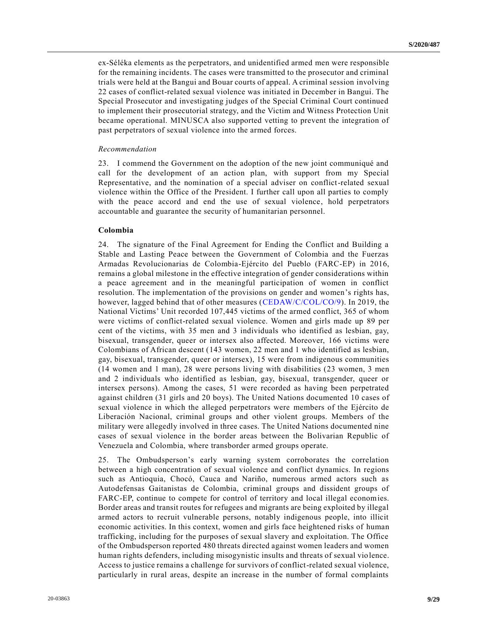ex-Séléka elements as the perpetrators, and unidentified armed men were responsible for the remaining incidents. The cases were transmitted to the prosecutor and criminal trials were held at the Bangui and Bouar courts of appeal. A criminal session involving 22 cases of conflict-related sexual violence was initiated in December in Bangui. The Special Prosecutor and investigating judges of the Special Criminal Court continued to implement their prosecutorial strategy, and the Victim and Witness Protection Unit became operational. MINUSCA also supported vetting to prevent the integration of past perpetrators of sexual violence into the armed forces.

#### *Recommendation*

23. I commend the Government on the adoption of the new joint communiqué and call for the development of an action plan, with support from my Special Representative, and the nomination of a special adviser on conflict-related sexual violence within the Office of the President. I further call upon all parties to comply with the peace accord and end the use of sexual violence, hold perpetrators accountable and guarantee the security of humanitarian personnel.

#### **Colombia**

24. The signature of the Final Agreement for Ending the Conflict and Building a Stable and Lasting Peace between the Government of Colombia and the Fuerzas Armadas Revolucionarias de Colombia-Ejército del Pueblo (FARC-EP) in 2016, remains a global milestone in the effective integration of gender considerations within a peace agreement and in the meaningful participation of women in conflict resolution. The implementation of the provisions on gender and women's rights has, however, lagged behind that of other measures [\(CEDAW/C/COL/CO/9\)](https://undocs.org/en/CEDAW/C/COL/CO/9). In 2019, the National Victims' Unit recorded 107,445 victims of the armed conflict, 365 of whom were victims of conflict-related sexual violence. Women and girls made up 89 per cent of the victims, with 35 men and 3 individuals who identified as lesbian, gay, bisexual, transgender, queer or intersex also affected. Moreover, 166 victims were Colombians of African descent (143 women, 22 men and 1 who identified as lesbian, gay, bisexual, transgender, queer or intersex), 15 were from indigenous communities (14 women and 1 man), 28 were persons living with disabilities (23 women, 3 men and 2 individuals who identified as lesbian, gay, bisexual, transgender, queer or intersex persons). Among the cases, 51 were recorded as having been perpetrated against children (31 girls and 20 boys). The United Nations documented 10 cases of sexual violence in which the alleged perpetrators were members of the Ejército de Liberación Nacional, criminal groups and other violent groups. Members of the military were allegedly involved in three cases. The United Nations documented nine cases of sexual violence in the border areas between the Bolivarian Republic of Venezuela and Colombia, where transborder armed groups operate.

25. The Ombudsperson's early warning system corroborates the correlation between a high concentration of sexual violence and conflict dynamics. In regions such as Antioquia, Chocó, Cauca and Nariño, numerous armed actors such as Autodefensas Gaitanistas de Colombia, criminal groups and dissident groups of FARC-EP, continue to compete for control of territory and local illegal economies. Border areas and transit routes for refugees and migrants are being exploited by illegal armed actors to recruit vulnerable persons, notably indigenous people, into illicit economic activities. In this context, women and girls face heightened risks of human trafficking, including for the purposes of sexual slavery and exploitation. The Office of the Ombudsperson reported 480 threats directed against women leaders and women human rights defenders, including misogynistic insults and threats of sexual violence. Access to justice remains a challenge for survivors of conflict-related sexual violence, particularly in rural areas, despite an increase in the number of formal complaints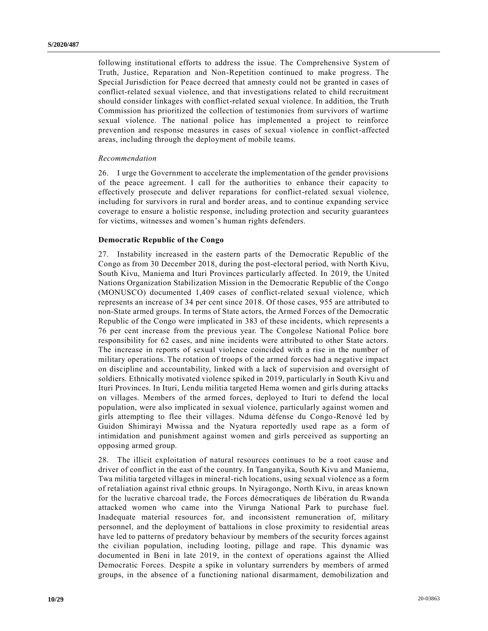following institutional efforts to address the issue. The Comprehensive System of Truth, Justice, Reparation and Non-Repetition continued to make progress. The Special Jurisdiction for Peace decreed that amnesty could not be granted in cases of conflict-related sexual violence, and that investigations related to child recruitment should consider linkages with conflict-related sexual violence. In addition, the Truth Commission has prioritized the collection of testimonies from survivors of wartime sexual violence. The national police has implemented a project to reinforce prevention and response measures in cases of sexual violence in conflict-affected areas, including through the deployment of mobile teams.

#### *Recommendation*

26. I urge the Government to accelerate the implementation of the gender provisions of the peace agreement. I call for the authorities to enhance their capacity to effectively prosecute and deliver reparations for conflict-related sexual violence, including for survivors in rural and border areas, and to continue expanding service coverage to ensure a holistic response, including protection and security guarantees for victims, witnesses and women's human rights defenders.

#### **Democratic Republic of the Congo**

27. Instability increased in the eastern parts of the Democratic Republic of the Congo as from 30 December 2018, during the post-electoral period, with North Kivu, South Kivu, Maniema and Ituri Provinces particularly affected. In 2019, the United Nations Organization Stabilization Mission in the Democratic Republic of the Congo (MONUSCO) documented 1,409 cases of conflict-related sexual violence, which represents an increase of 34 per cent since 2018. Of those cases, 955 are attributed to non-State armed groups. In terms of State actors, the Armed Forces of the Democratic Republic of the Congo were implicated in 383 of these incidents, which represents a 76 per cent increase from the previous year. The Congolese National Police bore responsibility for 62 cases, and nine incidents were attributed to other State actors. The increase in reports of sexual violence coincided with a rise in the number of military operations. The rotation of troops of the armed forces had a negative impact on discipline and accountability, linked with a lack of supervision and oversight of soldiers. Ethnically motivated violence spiked in 2019, particularly in South Kivu and Ituri Provinces. In Ituri, Lendu militia targeted Hema women and girls during attacks on villages. Members of the armed forces, deployed to Ituri to defend the local population, were also implicated in sexual violence, particularly against women and girls attempting to flee their villages. Nduma défense du Congo-Renové led by Guidon Shimirayi Mwissa and the Nyatura reportedly used rape as a form of intimidation and punishment against women and girls perceived as supporting an opposing armed group.

28. The illicit exploitation of natural resources continues to be a root cause and driver of conflict in the east of the country. In Tanganyika, South Kivu and Maniema, Twa militia targeted villages in mineral-rich locations, using sexual violence as a form of retaliation against rival ethnic groups. In Nyiragongo, North Kivu, in areas known for the lucrative charcoal trade, the Forces démocratiques de libération du Rwanda attacked women who came into the Virunga National Park to purchase fuel. Inadequate material resources for, and inconsistent remuneration of, military personnel, and the deployment of battalions in close proximity to residential areas have led to patterns of predatory behaviour by members of the security forces against the civilian population, including looting, pillage and rape. This dynamic was documented in Beni in late 2019, in the context of operations against the Allied Democratic Forces. Despite a spike in voluntary surrenders by members of armed groups, in the absence of a functioning national disarmament, demobilization and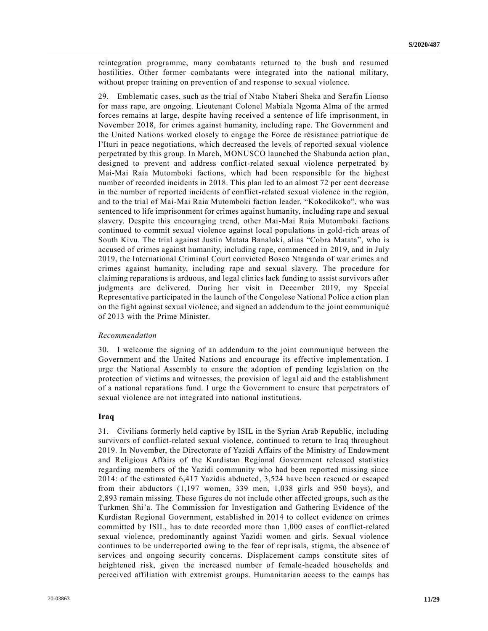reintegration programme, many combatants returned to the bush and resumed hostilities. Other former combatants were integrated into the national military, without proper training on prevention of and response to sexual violence.

29. Emblematic cases, such as the trial of Ntabo Ntaberi Sheka and Serafin Lionso for mass rape, are ongoing. Lieutenant Colonel Mabiala Ngoma Alma of the armed forces remains at large, despite having received a sentence of life imprisonment, in November 2018, for crimes against humanity, including rape. The Government and the United Nations worked closely to engage the Force de résistance patriotique de l'Ituri in peace negotiations, which decreased the levels of reported sexual violence perpetrated by this group. In March, MONUSCO launched the Shabunda action plan, designed to prevent and address conflict-related sexual violence perpetrated by Mai-Mai Raia Mutomboki factions, which had been responsible for the highest number of recorded incidents in 2018. This plan led to an almost 72 per cent decrease in the number of reported incidents of conflict-related sexual violence in the region, and to the trial of Mai-Mai Raia Mutomboki faction leader, "Kokodikoko", who was sentenced to life imprisonment for crimes against humanity, including rape and sexual slavery. Despite this encouraging trend, other Mai-Mai Raia Mutomboki factions continued to commit sexual violence against local populations in gold-rich areas of South Kivu. The trial against Justin Matata Banaloki, alias "Cobra Matata", who is accused of crimes against humanity, including rape, commenced in 2019, and in July 2019, the International Criminal Court convicted Bosco Ntaganda of war crimes and crimes against humanity, including rape and sexual slavery. The procedure for claiming reparations is arduous, and legal clinics lack funding to assist survivors after judgments are delivered. During her visit in December 2019, my Special Representative participated in the launch of the Congolese National Police a ction plan on the fight against sexual violence, and signed an addendum to the joint communiqué of 2013 with the Prime Minister.

#### *Recommendation*

30. I welcome the signing of an addendum to the joint communiqué between the Government and the United Nations and encourage its effective implementation. I urge the National Assembly to ensure the adoption of pending legislation on the protection of victims and witnesses, the provision of legal aid and the establishment of a national reparations fund. I urge the Government to ensure that perpetrators of sexual violence are not integrated into national institutions.

#### **Iraq**

31. Civilians formerly held captive by ISIL in the Syrian Arab Republic, including survivors of conflict-related sexual violence, continued to return to Iraq throughout 2019. In November, the Directorate of Yazidi Affairs of the Ministry of Endowment and Religious Affairs of the Kurdistan Regional Government released statistics regarding members of the Yazidi community who had been reported missing since 2014: of the estimated 6,417 Yazidis abducted, 3,524 have been rescued or escaped from their abductors (1,197 women, 339 men, 1,038 girls and 950 boys), and 2,893 remain missing. These figures do not include other affected groups, such as the Turkmen Shi'a. The Commission for Investigation and Gathering Evidence of the Kurdistan Regional Government, established in 2014 to collect evidence on crimes committed by ISIL, has to date recorded more than 1,000 cases of conflict-related sexual violence, predominantly against Yazidi women and girls. Sexual violence continues to be underreported owing to the fear of reprisals, stigma, the absence of services and ongoing security concerns. Displacement camps constitute sites of heightened risk, given the increased number of female-headed households and perceived affiliation with extremist groups. Humanitarian access to the camps has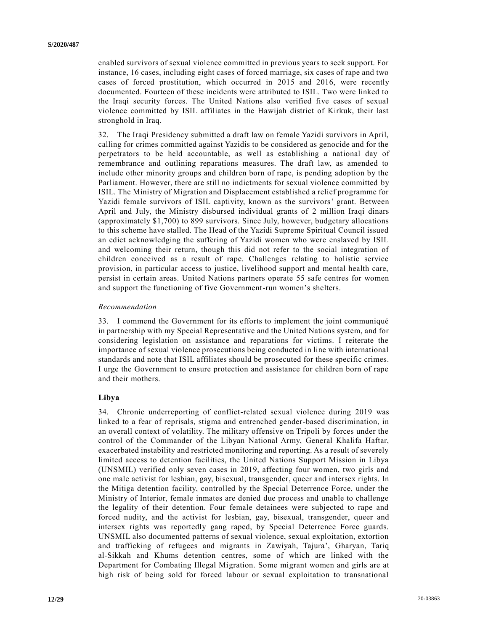enabled survivors of sexual violence committed in previous years to seek support. For instance, 16 cases, including eight cases of forced marriage, six cases of rape and two cases of forced prostitution, which occurred in 2015 and 2016, were recently documented. Fourteen of these incidents were attributed to ISIL. Two were linked to the Iraqi security forces. The United Nations also verified five cases of sexual violence committed by ISIL affiliates in the Hawijah district of Kirkuk, their last stronghold in Iraq.

32. The Iraqi Presidency submitted a draft law on female Yazidi survivors in April, calling for crimes committed against Yazidis to be considered as genocide and for the perpetrators to be held accountable, as well as establishing a national day of remembrance and outlining reparations measures. The draft law, as amended to include other minority groups and children born of rape, is pending adoption by the Parliament. However, there are still no indictments for sexual violence committed by ISIL. The Ministry of Migration and Displacement established a relief programme for Yazidi female survivors of ISIL captivity, known as the survivors' grant. Between April and July, the Ministry disbursed individual grants of 2 million Iraqi dinars (approximately \$1,700) to 899 survivors. Since July, however, budgetary allocations to this scheme have stalled. The Head of the Yazidi Supreme Spiritual Council issued an edict acknowledging the suffering of Yazidi women who were enslaved by ISIL and welcoming their return, though this did not refer to the social integration of children conceived as a result of rape. Challenges relating to holistic service provision, in particular access to justice, livelihood support and mental health care, persist in certain areas. United Nations partners operate 55 safe centres for women and support the functioning of five Government-run women's shelters.

### *Recommendation*

33. I commend the Government for its efforts to implement the joint communiqué in partnership with my Special Representative and the United Nations system, and for considering legislation on assistance and reparations for victims. I reiterate the importance of sexual violence prosecutions being conducted in line with international standards and note that ISIL affiliates should be prosecuted for these specific crimes. I urge the Government to ensure protection and assistance for children born of rape and their mothers.

## **Libya**

34. Chronic underreporting of conflict-related sexual violence during 2019 was linked to a fear of reprisals, stigma and entrenched gender-based discrimination, in an overall context of volatility. The military offensive on Tripoli by forces under the control of the Commander of the Libyan National Army, General Khalifa Haftar, exacerbated instability and restricted monitoring and reporting. As a result of severely limited access to detention facilities, the United Nations Support Mission in Libya (UNSMIL) verified only seven cases in 2019, affecting four women, two girls and one male activist for lesbian, gay, bisexual, transgender, queer and intersex rights. In the Mitiga detention facility, controlled by the Special Deterrence Force, under the Ministry of Interior, female inmates are denied due process and unable to challenge the legality of their detention. Four female detainees were subjected to rape and forced nudity, and the activist for lesbian, gay, bisexual, transgender, queer and intersex rights was reportedly gang raped, by Special Deterrence Force guards. UNSMIL also documented patterns of sexual violence, sexual exploitation, extortion and trafficking of refugees and migrants in Zawiyah, Tajura', Gharyan, Tariq al-Sikkah and Khums detention centres, some of which are linked with the Department for Combating Illegal Migration. Some migrant women and girls are at high risk of being sold for forced labour or sexual exploitation to transnational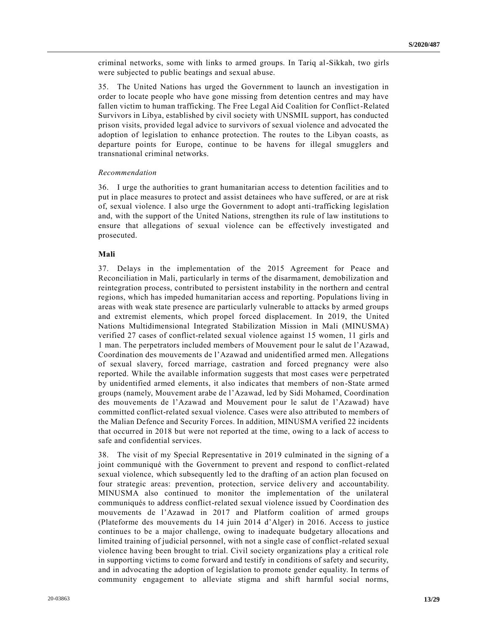criminal networks, some with links to armed groups. In Tariq al-Sikkah, two girls were subjected to public beatings and sexual abuse.

35. The United Nations has urged the Government to launch an investigation in order to locate people who have gone missing from detention centres and may have fallen victim to human trafficking. The Free Legal Aid Coalition for Conflict-Related Survivors in Libya, established by civil society with UNSMIL support, has conducted prison visits, provided legal advice to survivors of sexual violence and advocated the adoption of legislation to enhance protection. The routes to the Libyan coasts, as departure points for Europe, continue to be havens for illegal smugglers and transnational criminal networks.

#### *Recommendation*

36. I urge the authorities to grant humanitarian access to detention facilities and to put in place measures to protect and assist detainees who have suffered, or are at risk of, sexual violence. I also urge the Government to adopt anti-trafficking legislation and, with the support of the United Nations, strengthen its rule of law institutions to ensure that allegations of sexual violence can be effectively investigated and prosecuted.

#### **Mali**

37. Delays in the implementation of the 2015 Agreement for Peace and Reconciliation in Mali, particularly in terms of the disarmament, demobilization and reintegration process, contributed to persistent instability in the northern and central regions, which has impeded humanitarian access and reporting. Populations living in areas with weak state presence are particularly vulnerable to attacks by armed groups and extremist elements, which propel forced displacement. In 2019, the United Nations Multidimensional Integrated Stabilization Mission in Mali (MINUSMA) verified 27 cases of conflict-related sexual violence against 15 women, 11 girls and 1 man. The perpetrators included members of Mouvement pour le salut de l'Azawad, Coordination des mouvements de l'Azawad and unidentified armed men. Allegations of sexual slavery, forced marriage, castration and forced pregnancy were also reported. While the available information suggests that most cases were perpetrated by unidentified armed elements, it also indicates that members of non-State armed groups (namely, Mouvement arabe de l'Azawad, led by Sidi Mohamed, Coordination des mouvements de l'Azawad and Mouvement pour le salut de l'Azawad) have committed conflict-related sexual violence. Cases were also attributed to members of the Malian Defence and Security Forces. In addition, MINUSMA verified 22 incidents that occurred in 2018 but were not reported at the time, owing to a lack of access to safe and confidential services.

38. The visit of my Special Representative in 2019 culminated in the signing of a joint communiqué with the Government to prevent and respond to conflict-related sexual violence, which subsequently led to the drafting of an action plan focused on four strategic areas: prevention, protection, service delivery and accountability. MINUSMA also continued to monitor the implementation of the unilateral communiqués to address conflict-related sexual violence issued by Coordination des mouvements de l'Azawad in 2017 and Platform coalition of armed groups (Plateforme des mouvements du 14 juin 2014 d'Alger) in 2016. Access to justice continues to be a major challenge, owing to inadequate budgetary allocations and limited training of judicial personnel, with not a single case of conflict-related sexual violence having been brought to trial. Civil society organizations play a critical role in supporting victims to come forward and testify in conditions of safety and security, and in advocating the adoption of legislation to promote gender equality. In terms of community engagement to alleviate stigma and shift harmful social norms,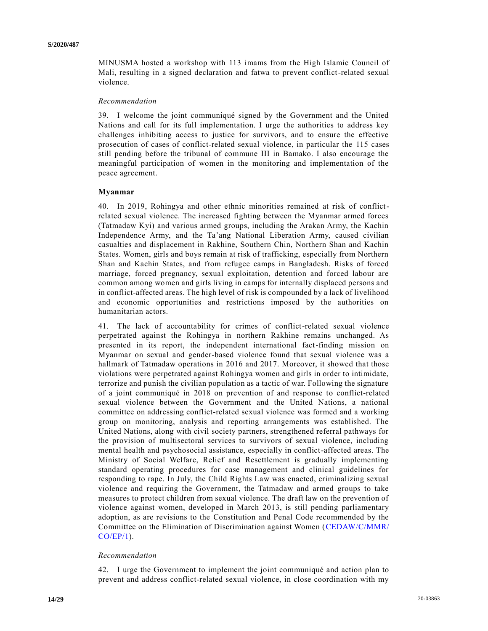MINUSMA hosted a workshop with 113 imams from the High Islamic Council of Mali, resulting in a signed declaration and fatwa to prevent conflict-related sexual violence.

#### *Recommendation*

39. I welcome the joint communiqué signed by the Government and the United Nations and call for its full implementation. I urge the authorities to address key challenges inhibiting access to justice for survivors, and to ensure the effective prosecution of cases of conflict-related sexual violence, in particular the 115 cases still pending before the tribunal of commune III in Bamako. I also encourage the meaningful participation of women in the monitoring and implementation of the peace agreement.

#### **Myanmar**

40. In 2019, Rohingya and other ethnic minorities remained at risk of conflictrelated sexual violence. The increased fighting between the Myanmar armed forces (Tatmadaw Kyi) and various armed groups, including the Arakan Army, the Kachin Independence Army, and the Ta'ang National Liberation Army, caused civilian casualties and displacement in Rakhine, Southern Chin, Northern Shan and Kachin States. Women, girls and boys remain at risk of trafficking, especially from Northern Shan and Kachin States, and from refugee camps in Bangladesh. Risks of forced marriage, forced pregnancy, sexual exploitation, detention and forced labour are common among women and girls living in camps for internally displaced persons and in conflict-affected areas. The high level of risk is compounded by a lack of livelihood and economic opportunities and restrictions imposed by the authorities on humanitarian actors.

41. The lack of accountability for crimes of conflict-related sexual violence perpetrated against the Rohingya in northern Rakhine remains unchanged. As presented in its report, the independent international fact-finding mission on Myanmar on sexual and gender-based violence found that sexual violence was a hallmark of Tatmadaw operations in 2016 and 2017. Moreover, it showed that those violations were perpetrated against Rohingya women and girls in order to intimidate, terrorize and punish the civilian population as a tactic of war. Following the signature of a joint communiqué in 2018 on prevention of and response to conflict-related sexual violence between the Government and the United Nations, a national committee on addressing conflict-related sexual violence was formed and a working group on monitoring, analysis and reporting arrangements was established. The United Nations, along with civil society partners, strengthened referral pathways for the provision of multisectoral services to survivors of sexual violence, including mental health and psychosocial assistance, especially in conflict-affected areas. The Ministry of Social Welfare, Relief and Resettlement is gradually implementing standard operating procedures for case management and clinical guidelines for responding to rape. In July, the Child Rights Law was enacted, criminalizing sexual violence and requiring the Government, the Tatmadaw and armed groups to take measures to protect children from sexual violence. The draft law on the prevention of violence against women, developed in March 2013, is still pending parliamentary adoption, as are revisions to the Constitution and Penal Code recommended by the Committee on the Elimination of Discrimination against Women [\(CEDAW/C/MMR/](https://undocs.org/en/CEDAW/C/MMR/CO/EP/1) [CO/EP/1\)](https://undocs.org/en/CEDAW/C/MMR/CO/EP/1).

### *Recommendation*

42. I urge the Government to implement the joint communiqué and action plan to prevent and address conflict-related sexual violence, in close coordination with my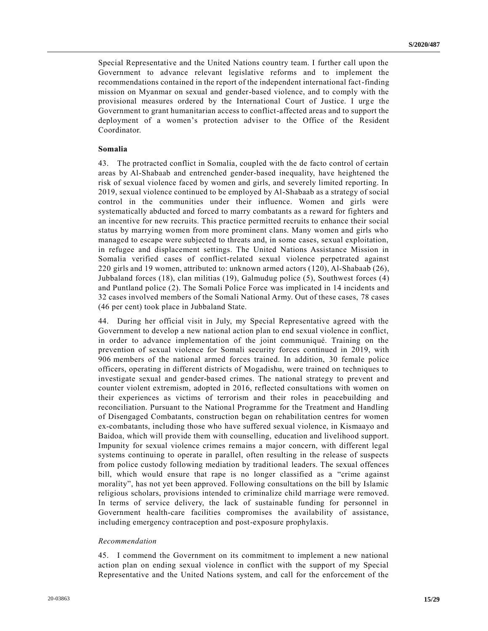Special Representative and the United Nations country team. I further call upon the Government to advance relevant legislative reforms and to implement the recommendations contained in the report of the independent international fact-finding mission on Myanmar on sexual and gender-based violence, and to comply with the provisional measures ordered by the International Court of Justice. I urge the Government to grant humanitarian access to conflict-affected areas and to support the deployment of a women's protection adviser to the Office of the Resident Coordinator.

#### **Somalia**

43. The protracted conflict in Somalia, coupled with the de facto control of certain areas by Al-Shabaab and entrenched gender-based inequality, have heightened the risk of sexual violence faced by women and girls, and severely limited reporting. In 2019, sexual violence continued to be employed by Al-Shabaab as a strategy of social control in the communities under their influence. Women and girls were systematically abducted and forced to marry combatants as a reward for fighters and an incentive for new recruits. This practice permitted recruits to enhance their social status by marrying women from more prominent clans. Many women and girls who managed to escape were subjected to threats and, in some cases, sexual exploitation, in refugee and displacement settings. The United Nations Assistance Mission in Somalia verified cases of conflict-related sexual violence perpetrated against 220 girls and 19 women, attributed to: unknown armed actors (120), Al-Shabaab (26), Jubbaland forces (18), clan militias (19), Galmudug police (5), Southwest forces (4) and Puntland police (2). The Somali Police Force was implicated in 14 incidents and 32 cases involved members of the Somali National Army. Out of these cases, 78 cases (46 per cent) took place in Jubbaland State.

44. During her official visit in July, my Special Representative agreed with the Government to develop a new national action plan to end sexual violence in conflict, in order to advance implementation of the joint communiqué. Training on the prevention of sexual violence for Somali security forces continued in 2019, with 906 members of the national armed forces trained. In addition, 30 female police officers, operating in different districts of Mogadishu, were trained on techniques to investigate sexual and gender-based crimes. The national strategy to prevent and counter violent extremism, adopted in 2016, reflected consultations with women on their experiences as victims of terrorism and their roles in peacebuilding and reconciliation. Pursuant to the National Programme for the Treatment and Handling of Disengaged Combatants, construction began on rehabilitation centres for women ex-combatants, including those who have suffered sexual violence, in Kismaayo and Baidoa, which will provide them with counselling, education and livelihood support. Impunity for sexual violence crimes remains a major concern, with different legal systems continuing to operate in parallel, often resulting in the release of suspects from police custody following mediation by traditional leaders. The sexual offences bill, which would ensure that rape is no longer classified as a "crime against morality", has not yet been approved. Following consultations on the bill by Islamic religious scholars, provisions intended to criminalize child marriage were removed. In terms of service delivery, the lack of sustainable funding for personnel in Government health-care facilities compromises the availability of assistance, including emergency contraception and post-exposure prophylaxis.

#### *Recommendation*

45. I commend the Government on its commitment to implement a new national action plan on ending sexual violence in conflict with the support of my Special Representative and the United Nations system, and call for the enforcement of the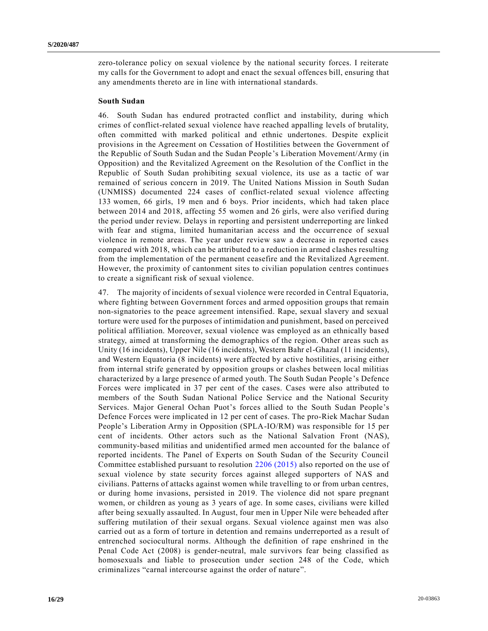zero-tolerance policy on sexual violence by the national security forces. I reiterate my calls for the Government to adopt and enact the sexual offences bill, ensuring that any amendments thereto are in line with international standards.

#### **South Sudan**

46. South Sudan has endured protracted conflict and instability, during which crimes of conflict-related sexual violence have reached appalling levels of brutality, often committed with marked political and ethnic undertones. Despite explicit provisions in the Agreement on Cessation of Hostilities between the Government of the Republic of South Sudan and the Sudan People's Liberation Movement/Army (in Opposition) and the Revitalized Agreement on the Resolution of the Conflict in the Republic of South Sudan prohibiting sexual violence, its use as a tactic of war remained of serious concern in 2019. The United Nations Mission in South Sudan (UNMISS) documented 224 cases of conflict-related sexual violence affecting 133 women, 66 girls, 19 men and 6 boys. Prior incidents, which had taken place between 2014 and 2018, affecting 55 women and 26 girls, were also verified during the period under review. Delays in reporting and persistent underreporting are linked with fear and stigma, limited humanitarian access and the occurrence of sexual violence in remote areas. The year under review saw a decrease in reported cases compared with 2018, which can be attributed to a reduction in armed clashes resulting from the implementation of the permanent ceasefire and the Revitalized Agreement. However, the proximity of cantonment sites to civilian population centres continues to create a significant risk of sexual violence.

47. The majority of incidents of sexual violence were recorded in Central Equatoria, where fighting between Government forces and armed opposition groups that remain non-signatories to the peace agreement intensified. Rape, sexual slavery and sexual torture were used for the purposes of intimidation and punishment, based on perceived political affiliation. Moreover, sexual violence was employed as an ethnically based strategy, aimed at transforming the demographics of the region. Other areas such as Unity (16 incidents), Upper Nile (16 incidents), Western Bahr el-Ghazal (11 incidents), and Western Equatoria (8 incidents) were affected by active hostilities, arising either from internal strife generated by opposition groups or clashes between local militias characterized by a large presence of armed youth. The South Sudan People 's Defence Forces were implicated in 37 per cent of the cases. Cases were also attributed to members of the South Sudan National Police Service and the National Security Services. Major General Ochan Puot's forces allied to the South Sudan People's Defence Forces were implicated in 12 per cent of cases. The pro-Riek Machar Sudan People's Liberation Army in Opposition (SPLA-IO/RM) was responsible for 15 per cent of incidents. Other actors such as the National Salvation Front (NAS), community-based militias and unidentified armed men accounted for the balance of reported incidents. The Panel of Experts on South Sudan of the Security Council Committee established pursuant to resolution [2206 \(2015\)](https://undocs.org/en/S/RES/2206(2015)) also reported on the use of sexual violence by state security forces against alleged supporters of NAS and civilians. Patterns of attacks against women while travelling to or from urban centres, or during home invasions, persisted in 2019. The violence did not spare pregnant women, or children as young as 3 years of age. In some cases, civilians were killed after being sexually assaulted. In August, four men in Upper Nile were beheaded after suffering mutilation of their sexual organs. Sexual violence against men was also carried out as a form of torture in detention and remains underreported as a result of entrenched sociocultural norms. Although the definition of rape enshrined in the Penal Code Act (2008) is gender-neutral, male survivors fear being classified as homosexuals and liable to prosecution under section 248 of the Code, which criminalizes "carnal intercourse against the order of nature".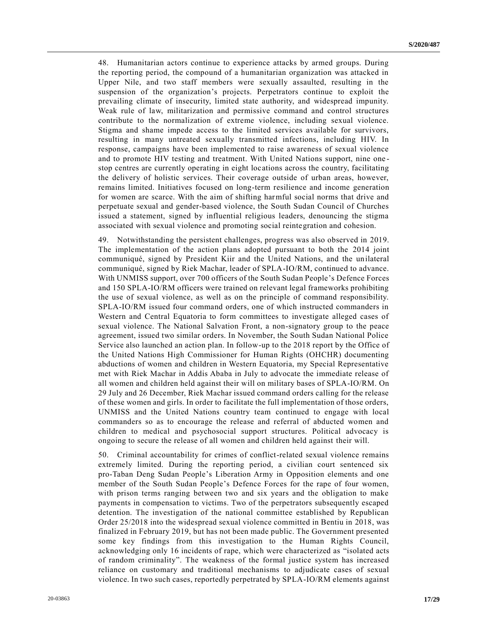48. Humanitarian actors continue to experience attacks by armed groups. During the reporting period, the compound of a humanitarian organization was attacked in Upper Nile, and two staff members were sexually assaulted, resulting in the suspension of the organization's projects. Perpetrators continue to exploit the prevailing climate of insecurity, limited state authority, and widespread impunity. Weak rule of law, militarization and permissive command and control structures contribute to the normalization of extreme violence, including sexual violence. Stigma and shame impede access to the limited services available for survivors, resulting in many untreated sexually transmitted infections, including HIV. In response, campaigns have been implemented to raise awareness of sexual violence and to promote HIV testing and treatment. With United Nations support, nine one stop centres are currently operating in eight locations across the country, facilitating the delivery of holistic services. Their coverage outside of urban areas, however, remains limited. Initiatives focused on long-term resilience and income generation for women are scarce. With the aim of shifting harmful social norms that drive and perpetuate sexual and gender-based violence, the South Sudan Council of Churches issued a statement, signed by influential religious leaders, denouncing the stigma associated with sexual violence and promoting social reintegration and cohesion.

49. Notwithstanding the persistent challenges, progress was also observed in 2019. The implementation of the action plans adopted pursuant to both the 2014 joint communiqué, signed by President Kiir and the United Nations, and the unilateral communiqué, signed by Riek Machar, leader of SPLA-IO/RM, continued to advance. With UNMISS support, over 700 officers of the South Sudan People's Defence Forces and 150 SPLA-IO/RM officers were trained on relevant legal frameworks prohibiting the use of sexual violence, as well as on the principle of command responsibility. SPLA-IO/RM issued four command orders, one of which instructed commanders in Western and Central Equatoria to form committees to investigate alleged cases of sexual violence. The National Salvation Front, a non-signatory group to the peace agreement, issued two similar orders. In November, the South Sudan National Police Service also launched an action plan. In follow-up to the 2018 report by the Office of the United Nations High Commissioner for Human Rights (OHCHR) documenting abductions of women and children in Western Equatoria, my Special Representative met with Riek Machar in Addis Ababa in July to advocate the immediate release of all women and children held against their will on military bases of SPLA-IO/RM. On 29 July and 26 December, Riek Machar issued command orders calling for the release of these women and girls. In order to facilitate the full implementation of those orders, UNMISS and the United Nations country team continued to engage with local commanders so as to encourage the release and referral of abducted women and children to medical and psychosocial support structures. Political advocacy is ongoing to secure the release of all women and children held against their will.

50. Criminal accountability for crimes of conflict-related sexual violence remains extremely limited. During the reporting period, a civilian court sentenced six pro-Taban Deng Sudan People's Liberation Army in Opposition elements and one member of the South Sudan People's Defence Forces for the rape of four women, with prison terms ranging between two and six years and the obligation to make payments in compensation to victims. Two of the perpetrators subsequently escaped detention. The investigation of the national committee established by Republican Order 25/2018 into the widespread sexual violence committed in Bentiu in 2018, was finalized in February 2019, but has not been made public. The Government presented some key findings from this investigation to the Human Rights Council, acknowledging only 16 incidents of rape, which were characterized as "isolated acts of random criminality". The weakness of the formal justice system has increased reliance on customary and traditional mechanisms to adjudicate cases of sexual violence. In two such cases, reportedly perpetrated by SPLA-IO/RM elements against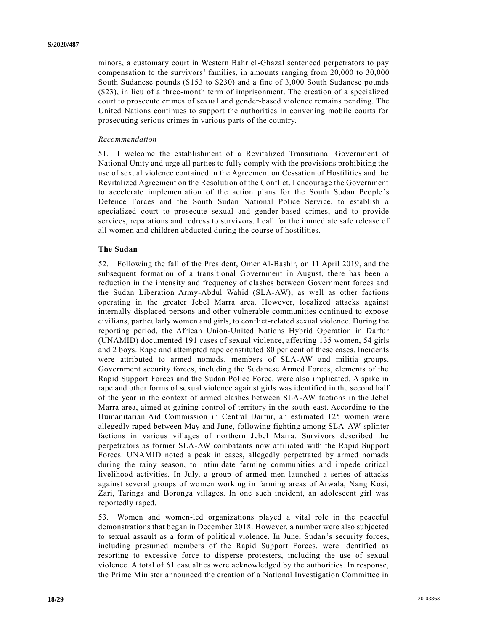minors, a customary court in Western Bahr el-Ghazal sentenced perpetrators to pay compensation to the survivors' families, in amounts ranging from 20,000 to 30,000 South Sudanese pounds (\$153 to \$230) and a fine of 3,000 South Sudanese pounds (\$23), in lieu of a three-month term of imprisonment. The creation of a specialized court to prosecute crimes of sexual and gender-based violence remains pending. The United Nations continues to support the authorities in convening mobile courts for prosecuting serious crimes in various parts of the country.

#### *Recommendation*

51. I welcome the establishment of a Revitalized Transitional Government of National Unity and urge all parties to fully comply with the provisions prohibiting the use of sexual violence contained in the Agreement on Cessation of Hostilities and the Revitalized Agreement on the Resolution of the Conflict. I encourage the Government to accelerate implementation of the action plans for the South Sudan People 's Defence Forces and the South Sudan National Police Service, to establish a specialized court to prosecute sexual and gender-based crimes, and to provide services, reparations and redress to survivors. I call for the immediate safe release of all women and children abducted during the course of hostilities.

### **The Sudan**

52. Following the fall of the President, Omer Al-Bashir, on 11 April 2019, and the subsequent formation of a transitional Government in August, there has been a reduction in the intensity and frequency of clashes between Government forces and the Sudan Liberation Army-Abdul Wahid (SLA-AW), as well as other factions operating in the greater Jebel Marra area. However, localized attacks against internally displaced persons and other vulnerable communities continued to expose civilians, particularly women and girls, to conflict-related sexual violence. During the reporting period, the African Union-United Nations Hybrid Operation in Darfur (UNAMID) documented 191 cases of sexual violence, affecting 135 women, 54 girls and 2 boys. Rape and attempted rape constituted 80 per cent of these cases. Incidents were attributed to armed nomads, members of SLA-AW and militia groups. Government security forces, including the Sudanese Armed Forces, elements of the Rapid Support Forces and the Sudan Police Force, were also implicated. A spike in rape and other forms of sexual violence against girls was identified in the second half of the year in the context of armed clashes between SLA-AW factions in the Jebel Marra area, aimed at gaining control of territory in the south-east. According to the Humanitarian Aid Commission in Central Darfur, an estimated 125 women were allegedly raped between May and June, following fighting among SLA-AW splinter factions in various villages of northern Jebel Marra. Survivors described the perpetrators as former SLA-AW combatants now affiliated with the Rapid Support Forces. UNAMID noted a peak in cases, allegedly perpetrated by armed nomads during the rainy season, to intimidate farming communities and impede critical livelihood activities. In July, a group of armed men launched a series of attacks against several groups of women working in farming areas of Arwala, Nang Kosi, Zari, Taringa and Boronga villages. In one such incident, an adolescent girl was reportedly raped.

53. Women and women-led organizations played a vital role in the peaceful demonstrations that began in December 2018. However, a number were also subjected to sexual assault as a form of political violence. In June, Sudan's security forces, including presumed members of the Rapid Support Forces, were identified as resorting to excessive force to disperse protesters, including the use of sexual violence. A total of 61 casualties were acknowledged by the authorities. In response, the Prime Minister announced the creation of a National Investigation Committee in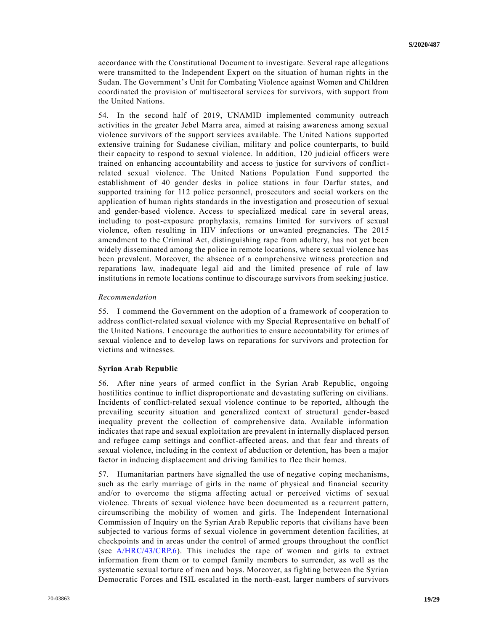accordance with the Constitutional Document to investigate. Several rape allegations were transmitted to the Independent Expert on the situation of human rights in the Sudan. The Government's Unit for Combating Violence against Women and Children coordinated the provision of multisectoral services for survivors, with support from the United Nations.

54. In the second half of 2019, UNAMID implemented community outreach activities in the greater Jebel Marra area, aimed at raising awareness among sexual violence survivors of the support services available. The United Nations supported extensive training for Sudanese civilian, military and police counterparts, to build their capacity to respond to sexual violence. In addition, 120 judicial officers were trained on enhancing accountability and access to justice for survivors of conflictrelated sexual violence. The United Nations Population Fund supported the establishment of 40 gender desks in police stations in four Darfur states, and supported training for 112 police personnel, prosecutors and social workers on the application of human rights standards in the investigation and prosecution of sexual and gender-based violence. Access to specialized medical care in several areas, including to post-exposure prophylaxis, remains limited for survivors of sexual violence, often resulting in HIV infections or unwanted pregnancies. The 2015 amendment to the Criminal Act, distinguishing rape from adultery, has not yet been widely disseminated among the police in remote locations, where sexual violence has been prevalent. Moreover, the absence of a comprehensive witness protection and reparations law, inadequate legal aid and the limited presence of rule of law institutions in remote locations continue to discourage survivors from seeking justice.

#### *Recommendation*

55. I commend the Government on the adoption of a framework of cooperation to address conflict-related sexual violence with my Special Representative on behalf of the United Nations. I encourage the authorities to ensure accountability for crimes of sexual violence and to develop laws on reparations for survivors and protection for victims and witnesses.

### **Syrian Arab Republic**

56. After nine years of armed conflict in the Syrian Arab Republic, ongoing hostilities continue to inflict disproportionate and devastating suffering on civilians. Incidents of conflict-related sexual violence continue to be reported, although the prevailing security situation and generalized context of structural gender-based inequality prevent the collection of comprehensive data. Available information indicates that rape and sexual exploitation are prevalent in internally displaced person and refugee camp settings and conflict-affected areas, and that fear and threats of sexual violence, including in the context of abduction or detention, has been a major factor in inducing displacement and driving families to flee their homes.

57. Humanitarian partners have signalled the use of negative coping mechanisms, such as the early marriage of girls in the name of physical and financial security and/or to overcome the stigma affecting actual or perceived victims of sexual violence. Threats of sexual violence have been documented as a recurrent pattern, circumscribing the mobility of women and girls. The Independent International Commission of Inquiry on the Syrian Arab Republic reports that civilians have been subjected to various forms of sexual violence in government detention facilities, at checkpoints and in areas under the control of armed groups throughout the conflict (see [A/HRC/43/CRP.6\)](https://undocs.org/en/A/HRC/43/CRP.6). This includes the rape of women and girls to extract information from them or to compel family members to surrender, as well as the systematic sexual torture of men and boys. Moreover, as fighting between the Syrian Democratic Forces and ISIL escalated in the north-east, larger numbers of survivors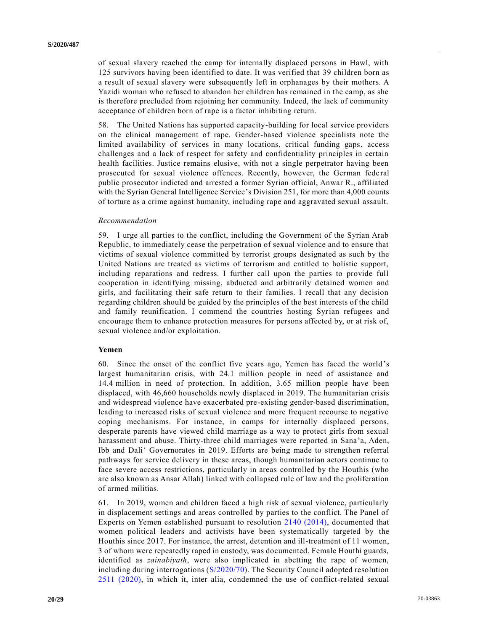of sexual slavery reached the camp for internally displaced persons in Hawl, with 125 survivors having been identified to date. It was verified that 39 children born as a result of sexual slavery were subsequently left in orphanages by their mothers. A Yazidi woman who refused to abandon her children has remained in the camp, as she is therefore precluded from rejoining her community. Indeed, the lack of community acceptance of children born of rape is a factor inhibiting return.

58. The United Nations has supported capacity-building for local service providers on the clinical management of rape. Gender-based violence specialists note the limited availability of services in many locations, critical funding gaps, access challenges and a lack of respect for safety and confidentiality principles in certain health facilities. Justice remains elusive, with not a single perpetrator having been prosecuted for sexual violence offences. Recently, however, the German federal public prosecutor indicted and arrested a former Syrian official, Anwar R., affiliated with the Syrian General Intelligence Service's Division 251, for more than 4,000 counts of torture as a crime against humanity, including rape and aggravated sexual assault.

#### *Recommendation*

59. I urge all parties to the conflict, including the Government of the Syrian Arab Republic, to immediately cease the perpetration of sexual violence and to ensure that victims of sexual violence committed by terrorist groups designated as such by the United Nations are treated as victims of terrorism and entitled to holistic support, including reparations and redress. I further call upon the parties to provide full cooperation in identifying missing, abducted and arbitrarily detained women and girls, and facilitating their safe return to their families. I recall that any decision regarding children should be guided by the principles of the best interests of the child and family reunification. I commend the countries hosting Syrian refugees and encourage them to enhance protection measures for persons affected by, or at risk of, sexual violence and/or exploitation.

#### **Yemen**

60. Since the onset of the conflict five years ago, Yemen has faced the world's largest humanitarian crisis, with 24.1 million people in need of assistance and 14.4 million in need of protection. In addition, 3.65 million people have been displaced, with 46,660 households newly displaced in 2019. The humanitarian crisis and widespread violence have exacerbated pre-existing gender-based discrimination, leading to increased risks of sexual violence and more frequent recourse to negative coping mechanisms. For instance, in camps for internally displaced persons, desperate parents have viewed child marriage as a way to protect girls from sexual harassment and abuse. Thirty-three child marriages were reported in Sana'a, Aden, Ibb and Dali' Governorates in 2019. Efforts are being made to strengthen referral pathways for service delivery in these areas, though humanitarian actors continue to face severe access restrictions, particularly in areas controlled by the Houthis (who are also known as Ansar Allah) linked with collapsed rule of law and the proliferation of armed militias.

61. In 2019, women and children faced a high risk of sexual violence, particularly in displacement settings and areas controlled by parties to the conflict. The Panel of Experts on Yemen established pursuant to resolution [2140 \(2014\),](https://undocs.org/en/S/RES/2140(2014)) documented that women political leaders and activists have been systematically targeted by the Houthis since 2017. For instance, the arrest, detention and ill-treatment of 11 women, 3 of whom were repeatedly raped in custody, was documented. Female Houthi guards, identified as *zainabiyath*, were also implicated in abetting the rape of women, including during interrogations [\(S/2020/70\)](https://undocs.org/en/S/2020/70). The Security Council adopted resolution [2511 \(2020\),](https://undocs.org/en/S/RES/2511(2020)) in which it, inter alia, condemned the use of conflict-related sexual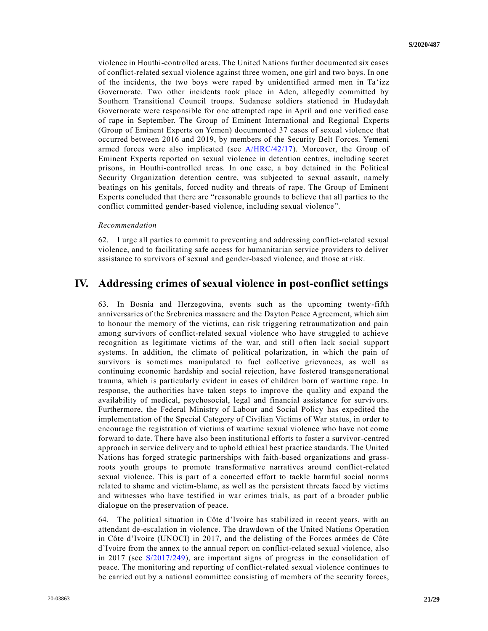violence in Houthi-controlled areas. The United Nations further documented six cases of conflict-related sexual violence against three women, one girl and two boys. In one of the incidents, the two boys were raped by unidentified armed men in Ta 'izz Governorate. Two other incidents took place in Aden, allegedly committed by Southern Transitional Council troops. Sudanese soldiers stationed in Hudaydah Governorate were responsible for one attempted rape in April and one verified case of rape in September. The Group of Eminent International and Regional Experts (Group of Eminent Experts on Yemen) documented 37 cases of sexual violence that occurred between 2016 and 2019, by members of the Security Belt Forces. Yemeni armed forces were also implicated (see [A/HRC/42/17\)](https://undocs.org/en/A/HRC/42/17). Moreover, the Group of Eminent Experts reported on sexual violence in detention centres, including secret prisons, in Houthi-controlled areas. In one case, a boy detained in the Political Security Organization detention centre, was subjected to sexual assault, namely beatings on his genitals, forced nudity and threats of rape. The Group of Eminent Experts concluded that there are "reasonable grounds to believe that all parties to the conflict committed gender-based violence, including sexual violence".

#### *Recommendation*

62. I urge all parties to commit to preventing and addressing conflict-related sexual violence, and to facilitating safe access for humanitarian service providers to deliver assistance to survivors of sexual and gender-based violence, and those at risk.

## **IV. Addressing crimes of sexual violence in post-conflict settings**

63. In Bosnia and Herzegovina, events such as the upcoming twenty-fifth anniversaries of the Srebrenica massacre and the Dayton Peace Agreement, which aim to honour the memory of the victims, can risk triggering retraumatization and pain among survivors of conflict-related sexual violence who have struggled to achieve recognition as legitimate victims of the war, and still often lack social support systems. In addition, the climate of political polarization, in which the pain of survivors is sometimes manipulated to fuel collective grievances, as well as continuing economic hardship and social rejection, have fostered transge nerational trauma, which is particularly evident in cases of children born of wartime rape. In response, the authorities have taken steps to improve the quality and expand the availability of medical, psychosocial, legal and financial assistance for survivors. Furthermore, the Federal Ministry of Labour and Social Policy has expedited the implementation of the Special Category of Civilian Victims of War status, in order to encourage the registration of victims of wartime sexual violence who have not come forward to date. There have also been institutional efforts to foster a survivor-centred approach in service delivery and to uphold ethical best practice standards. The United Nations has forged strategic partnerships with faith-based organizations and grassroots youth groups to promote transformative narratives around conflict-related sexual violence. This is part of a concerted effort to tackle harmful social norms related to shame and victim-blame, as well as the persistent threats faced by victims and witnesses who have testified in war crimes trials, as part of a broader public dialogue on the preservation of peace.

64. The political situation in Côte d'Ivoire has stabilized in recent years, with an attendant de-escalation in violence. The drawdown of the United Nations Operation in Côte d'Ivoire (UNOCI) in 2017, and the delisting of the Forces armées de Côte d'Ivoire from the annex to the annual report on conflict-related sexual violence, also in 2017 (see [S/2017/249\)](https://undocs.org/en/S/2017/249), are important signs of progress in the consolidation of peace. The monitoring and reporting of conflict-related sexual violence continues to be carried out by a national committee consisting of members of the security forces,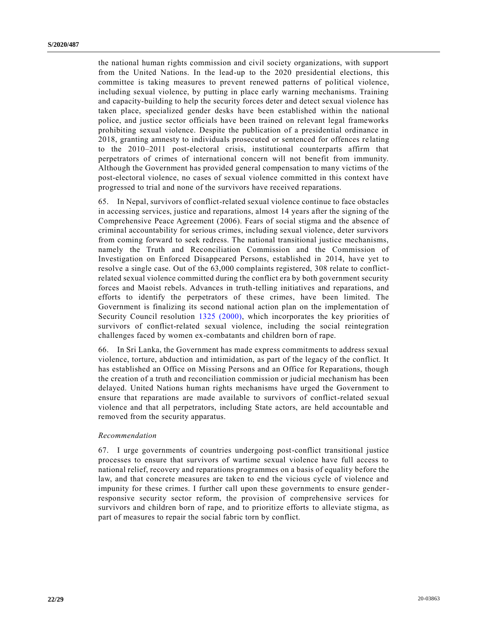the national human rights commission and civil society organizations, with support from the United Nations. In the lead-up to the 2020 presidential elections, this committee is taking measures to prevent renewed patterns of political violence, including sexual violence, by putting in place early warning mechanisms. Training and capacity-building to help the security forces deter and detect sexual violence has taken place, specialized gender desks have been established within the national police, and justice sector officials have been trained on relevant legal frameworks prohibiting sexual violence. Despite the publication of a presidential ordinance in 2018, granting amnesty to individuals prosecuted or sentenced for offences re lating to the 2010–2011 post-electoral crisis, institutional counterparts affirm that perpetrators of crimes of international concern will not benefit from immunity. Although the Government has provided general compensation to many victims of the post-electoral violence, no cases of sexual violence committed in this context have progressed to trial and none of the survivors have received reparations.

65. In Nepal, survivors of conflict-related sexual violence continue to face obstacles in accessing services, justice and reparations, almost 14 years after the signing of the Comprehensive Peace Agreement (2006). Fears of social stigma and the absence of criminal accountability for serious crimes, including sexual violence, deter survivors from coming forward to seek redress. The national transitional justice mechanisms, namely the Truth and Reconciliation Commission and the Commission of Investigation on Enforced Disappeared Persons, established in 2014, have yet to resolve a single case. Out of the 63,000 complaints registered, 308 relate to conflictrelated sexual violence committed during the conflict era by both government security forces and Maoist rebels. Advances in truth-telling initiatives and reparations, and efforts to identify the perpetrators of these crimes, have been limited. The Government is finalizing its second national action plan on the implementation of Security Council resolution [1325 \(2000\),](https://undocs.org/en/S/RES/1325(2000)) which incorporates the key priorities of survivors of conflict-related sexual violence, including the social reintegration challenges faced by women ex-combatants and children born of rape.

66. In Sri Lanka, the Government has made express commitments to address sexual violence, torture, abduction and intimidation, as part of the legacy of the conflict. It has established an Office on Missing Persons and an Office for Reparations, though the creation of a truth and reconciliation commission or judicial mechanism has been delayed. United Nations human rights mechanisms have urged the Government to ensure that reparations are made available to survivors of conflict-related sexual violence and that all perpetrators, including State actors, are held accountable and removed from the security apparatus.

#### *Recommendation*

67. I urge governments of countries undergoing post-conflict transitional justice processes to ensure that survivors of wartime sexual violence have full access to national relief, recovery and reparations programmes on a basis of equality before the law, and that concrete measures are taken to end the vicious cycle of violence and impunity for these crimes. I further call upon these governments to ensure genderresponsive security sector reform, the provision of comprehensive services for survivors and children born of rape, and to prioritize efforts to alleviate stigma, as part of measures to repair the social fabric torn by conflict.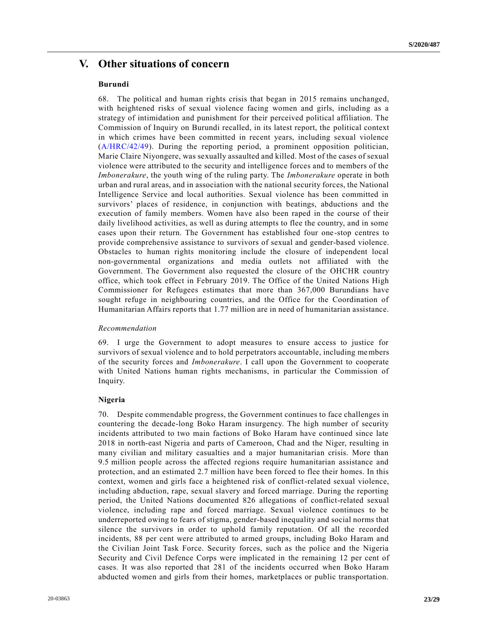# **V. Other situations of concern**

#### **Burundi**

68. The political and human rights crisis that began in 2015 remains unchanged, with heightened risks of sexual violence facing women and girls, including as a strategy of intimidation and punishment for their perceived political affiliation. The Commission of Inquiry on Burundi recalled, in its latest report, the political context in which crimes have been committed in recent years, including sexual violence [\(A/HRC/42/49\)](https://undocs.org/en/A/HRC/42/49). During the reporting period, a prominent opposition politician, Marie Claire Niyongere, was sexually assaulted and killed. Most of the cases of sexual violence were attributed to the security and intelligence forces and to members of the *Imbonerakure*, the youth wing of the ruling party. The *Imbonerakure* operate in both urban and rural areas, and in association with the national security forces, the National Intelligence Service and local authorities. Sexual violence has been committed in survivors' places of residence, in conjunction with beatings, abductions and the execution of family members. Women have also been raped in the course of their daily livelihood activities, as well as during attempts to flee the country, and in some cases upon their return. The Government has established four one-stop centres to provide comprehensive assistance to survivors of sexual and gender-based violence. Obstacles to human rights monitoring include the closure of independent local non-governmental organizations and media outlets not affiliated with the Government. The Government also requested the closure of the OHCHR country office, which took effect in February 2019. The Office of the United Nations High Commissioner for Refugees estimates that more than 367,000 Burundians have sought refuge in neighbouring countries, and the Office for the Coordination of Humanitarian Affairs reports that 1.77 million are in need of humanitarian assistance.

#### *Recommendation*

69. I urge the Government to adopt measures to ensure access to justice for survivors of sexual violence and to hold perpetrators accountable, including members of the security forces and *Imbonerakure*. I call upon the Government to cooperate with United Nations human rights mechanisms, in particular the Commission of Inquiry.

### **Nigeria**

70. Despite commendable progress, the Government continues to face challenges in countering the decade-long Boko Haram insurgency. The high number of security incidents attributed to two main factions of Boko Haram have continued since late 2018 in north-east Nigeria and parts of Cameroon, Chad and the Niger, resulting in many civilian and military casualties and a major humanitarian crisis. More than 9.5 million people across the affected regions require humanitarian assistance and protection, and an estimated 2.7 million have been forced to flee their homes. In this context, women and girls face a heightened risk of conflict-related sexual violence, including abduction, rape, sexual slavery and forced marriage. During the reporting period, the United Nations documented 826 allegations of conflict-related sexual violence, including rape and forced marriage. Sexual violence continues to be underreported owing to fears of stigma, gender-based inequality and social norms that silence the survivors in order to uphold family reputation. Of all the recorded incidents, 88 per cent were attributed to armed groups, including Boko Haram and the Civilian Joint Task Force. Security forces, such as the police and the Nigeria Security and Civil Defence Corps were implicated in the remaining 12 per cent of cases. It was also reported that 281 of the incidents occurred when Boko Haram abducted women and girls from their homes, marketplaces or public transportation.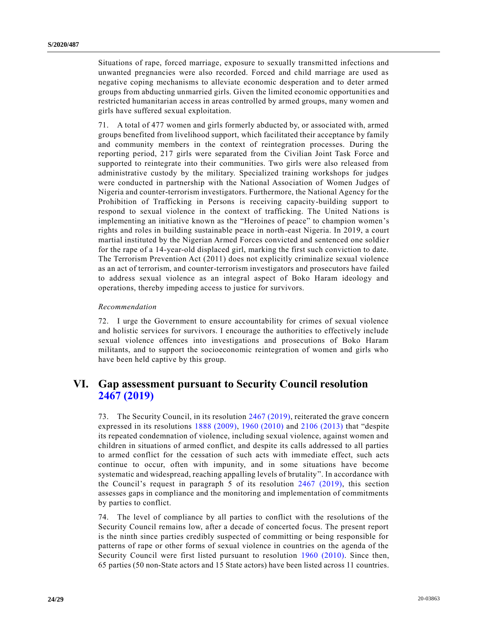Situations of rape, forced marriage, exposure to sexually transmitted infections and unwanted pregnancies were also recorded. Forced and child marriage are used as negative coping mechanisms to alleviate economic desperation and to deter armed groups from abducting unmarried girls. Given the limited economic opportuniti es and restricted humanitarian access in areas controlled by armed groups, many women and girls have suffered sexual exploitation.

71. A total of 477 women and girls formerly abducted by, or associated with, armed groups benefited from livelihood support, which facilitated their acceptance by family and community members in the context of reintegration processes. During the reporting period, 217 girls were separated from the Civilian Joint Task Force and supported to reintegrate into their communities. Two girls were also released from administrative custody by the military. Specialized training workshops for judges were conducted in partnership with the National Association of Women Judges of Nigeria and counter-terrorism investigators. Furthermore, the National Agency for the Prohibition of Trafficking in Persons is receiving capacity-building support to respond to sexual violence in the context of trafficking. The United Nations is implementing an initiative known as the "Heroines of peace" to champion women's rights and roles in building sustainable peace in north-east Nigeria. In 2019, a court martial instituted by the Nigerian Armed Forces convicted and sentenced one soldie r for the rape of a 14-year-old displaced girl, marking the first such conviction to date. The Terrorism Prevention Act (2011) does not explicitly criminalize sexual violence as an act of terrorism, and counter-terrorism investigators and prosecutors have failed to address sexual violence as an integral aspect of Boko Haram ideology and operations, thereby impeding access to justice for survivors.

### *Recommendation*

72. I urge the Government to ensure accountability for crimes of sexual violence and holistic services for survivors. I encourage the authorities to effectively include sexual violence offences into investigations and prosecutions of Boko Haram militants, and to support the socioeconomic reintegration of women and girls who have been held captive by this group.

# **VI. Gap assessment pursuant to Security Council resolution [2467 \(2019\)](https://undocs.org/en/S/RES/2467(2019))**

73. The Security Council, in its resolution [2467 \(2019\),](https://undocs.org/en/S/RES/2467(2019)) reiterated the grave concern expressed in its resolutions [1888 \(2009\),](https://undocs.org/en/S/RES/1888(2009)) [1960 \(2010\)](https://undocs.org/en/S/RES/1960(2010)) and [2106 \(2013\)](https://undocs.org/en/S/RES/2106(2013)) that "despite its repeated condemnation of violence, including sexual violence, against women and children in situations of armed conflict, and despite its calls addressed to all parties to armed conflict for the cessation of such acts with immediate effect, such acts continue to occur, often with impunity, and in some situations have become systematic and widespread, reaching appalling levels of brutality". In accordance with the Council's request in paragraph 5 of its resolution [2467 \(2019\),](https://undocs.org/en/S/RES/2467(2019)) this section assesses gaps in compliance and the monitoring and implementation of commitments by parties to conflict.

74. The level of compliance by all parties to conflict with the resolutions of the Security Council remains low, after a decade of concerted focus. The present report is the ninth since parties credibly suspected of committing or being responsible for patterns of rape or other forms of sexual violence in countries on the agenda of the Security Council were first listed pursuant to resolution [1960 \(2010\).](https://undocs.org/en/S/RES/1960(2010)) Since then, 65 parties (50 non-State actors and 15 State actors) have been listed across 11 countries.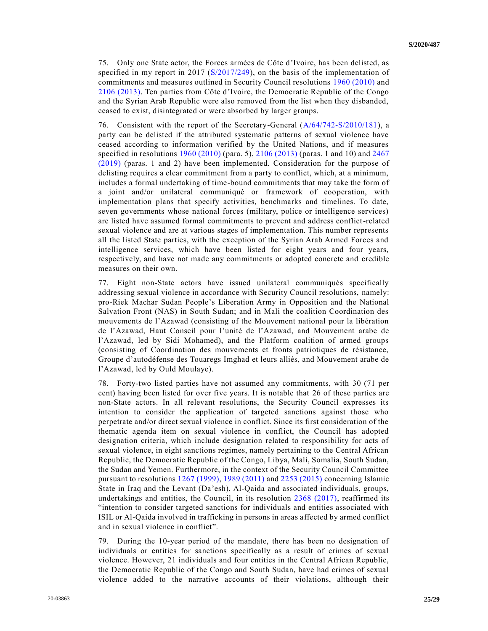75. Only one State actor, the Forces armées de Côte d'Ivoire, has been delisted, as specified in my report in 2017 [\(S/2017/249\)](https://undocs.org/en/S/2017/249), on the basis of the implementation of commitments and measures outlined in Security Council resolutions [1960 \(2010\)](https://undocs.org/en/S/RES/1960(2010)) and [2106 \(2013\).](https://undocs.org/en/S/RES/2106(2013)) Ten parties from Côte d'Ivoire, the Democratic Republic of the Congo and the Syrian Arab Republic were also removed from the list when they disbanded, ceased to exist, disintegrated or were absorbed by larger groups.

76. Consistent with the report of the Secretary-General [\(A/64/742-S/2010/181\)](https://undocs.org/en/A/64/742), a party can be delisted if the attributed systematic patterns of sexual violence have ceased according to information verified by the United Nations, and if measures specified in resolutions [1960 \(2010\)](https://undocs.org/en/S/RES/1960(2010)) (para. 5), [2106 \(2013\)](https://undocs.org/en/S/RES/2106(2013)) (paras. 1 and 10) and [2467](https://undocs.org/en/S/RES/2467(2019))  [\(2019\)](https://undocs.org/en/S/RES/2467(2019)) (paras. 1 and 2) have been implemented. Consideration for the purpose of delisting requires a clear commitment from a party to conflict, which, at a minimum, includes a formal undertaking of time-bound commitments that may take the form of a joint and/or unilateral communiqué or framework of cooperation, with implementation plans that specify activities, benchmarks and timelines. To date, seven governments whose national forces (military, police or intelligence services) are listed have assumed formal commitments to prevent and address conflict-related sexual violence and are at various stages of implementation. This number represents all the listed State parties, with the exception of the Syrian Arab Armed Forces and intelligence services, which have been listed for eight years and four years, respectively, and have not made any commitments or adopted concrete and credible measures on their own.

77. Eight non-State actors have issued unilateral communiqués specifically addressing sexual violence in accordance with Security Council resolutions, namely: pro-Riek Machar Sudan People's Liberation Army in Opposition and the National Salvation Front (NAS) in South Sudan; and in Mali the coalition Coordination des mouvements de l'Azawad (consisting of the Mouvement national pour la libération de l'Azawad, Haut Conseil pour l'unité de l'Azawad, and Mouvement arabe de l'Azawad, led by Sidi Mohamed), and the Platform coalition of armed groups (consisting of Coordination des mouvements et fronts patriotiques de résistance, Groupe d'autodéfense des Touaregs Imghad et leurs alliés, and Mouvement arabe de l'Azawad, led by Ould Moulaye).

78. Forty-two listed parties have not assumed any commitments, with 30 (71 per cent) having been listed for over five years. It is notable that 26 of these parties are non-State actors. In all relevant resolutions, the Security Council expresses its intention to consider the application of targeted sanctions against those who perpetrate and/or direct sexual violence in conflict. Since its first consideration of the thematic agenda item on sexual violence in conflict, the Council has adopted designation criteria, which include designation related to responsibility for acts of sexual violence, in eight sanctions regimes, namely pertaining to the Central African Republic, the Democratic Republic of the Congo, Libya, Mali, Somalia, South Sudan, the Sudan and Yemen. Furthermore, in the context of the Security Council Committee pursuant to resolutions [1267 \(1999\),](https://undocs.org/en/S/RES/1267(1999)) [1989 \(2011\)](https://undocs.org/en/S/RES/1989(2011)) and [2253 \(2015\)](https://undocs.org/en/S/RES/2253(2015)) concerning Islamic State in Iraq and the Levant (Da'esh), Al-Qaida and associated individuals, groups, undertakings and entities, the Council, in its resolution [2368 \(2017\),](https://undocs.org/en/S/RES/2368(2017)) reaffirmed its "intention to consider targeted sanctions for individuals and entities associated with ISIL or Al-Qaida involved in trafficking in persons in areas affected by armed conflict and in sexual violence in conflict".

79. During the 10-year period of the mandate, there has been no designation of individuals or entities for sanctions specifically as a result of crimes of sexual violence. However, 21 individuals and four entities in the Central African Republic, the Democratic Republic of the Congo and South Sudan, have had crimes of sexual violence added to the narrative accounts of their violations, although their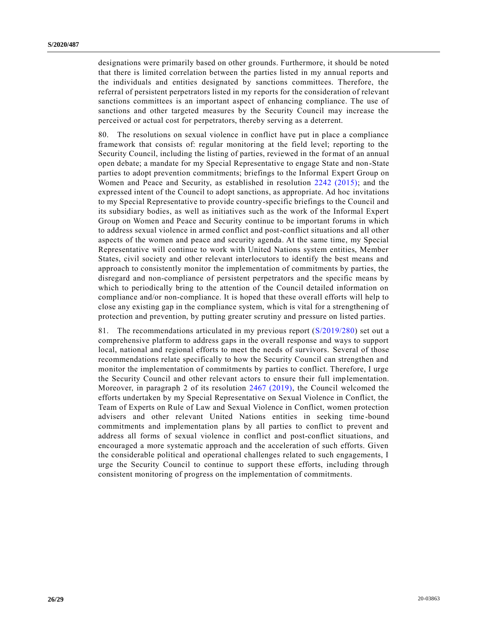designations were primarily based on other grounds. Furthermore, it should be noted that there is limited correlation between the parties listed in my annual reports and the individuals and entities designated by sanctions committees. Therefore, the referral of persistent perpetrators listed in my reports for the consideration of relevant sanctions committees is an important aspect of enhancing compliance. The use of sanctions and other targeted measures by the Security Council may increase the perceived or actual cost for perpetrators, thereby serving as a deterrent.

80. The resolutions on sexual violence in conflict have put in place a compliance framework that consists of: regular monitoring at the field level; reporting to the Security Council, including the listing of parties, reviewed in the format of an annual open debate; a mandate for my Special Representative to engage State and non-State parties to adopt prevention commitments; briefings to the Informal Expert Group on Women and Peace and Security, as established in resolution [2242 \(2015\);](https://undocs.org/en/S/RES/2242(2015)) and the expressed intent of the Council to adopt sanctions, as appropriate. Ad hoc invitations to my Special Representative to provide country-specific briefings to the Council and its subsidiary bodies, as well as initiatives such as the work of the Informal Expert Group on Women and Peace and Security continue to be important forums in which to address sexual violence in armed conflict and post-conflict situations and all other aspects of the women and peace and security agenda. At the same time, my Special Representative will continue to work with United Nations system entities, Member States, civil society and other relevant interlocutors to identify the best means and approach to consistently monitor the implementation of commitments by parties, the disregard and non-compliance of persistent perpetrators and the specific means by which to periodically bring to the attention of the Council detailed information on compliance and/or non-compliance. It is hoped that these overall efforts will help to close any existing gap in the compliance system, which is vital for a strengthening of protection and prevention, by putting greater scrutiny and pressure on listed parties.

81. The recommendations articulated in my previous report [\(S/2019/280\)](https://undocs.org/en/S/2019/280) set out a comprehensive platform to address gaps in the overall response and ways to support local, national and regional efforts to meet the needs of survivors. Several of those recommendations relate specifically to how the Security Council can strengthen and monitor the implementation of commitments by parties to conflict. Therefore, I urge the Security Council and other relevant actors to ensure their full implementation. Moreover, in paragraph 2 of its resolution [2467 \(2019\),](https://undocs.org/en/S/RES/2467(2019)) the Council welcomed the efforts undertaken by my Special Representative on Sexual Violence in Conflict, the Team of Experts on Rule of Law and Sexual Violence in Conflict, women protection advisers and other relevant United Nations entities in seeking time -bound commitments and implementation plans by all parties to conflict to prevent and address all forms of sexual violence in conflict and post-conflict situations, and encouraged a more systematic approach and the acceleration of such efforts. Given the considerable political and operational challenges related to such engagements, I urge the Security Council to continue to support these efforts, including through consistent monitoring of progress on the implementation of commitments.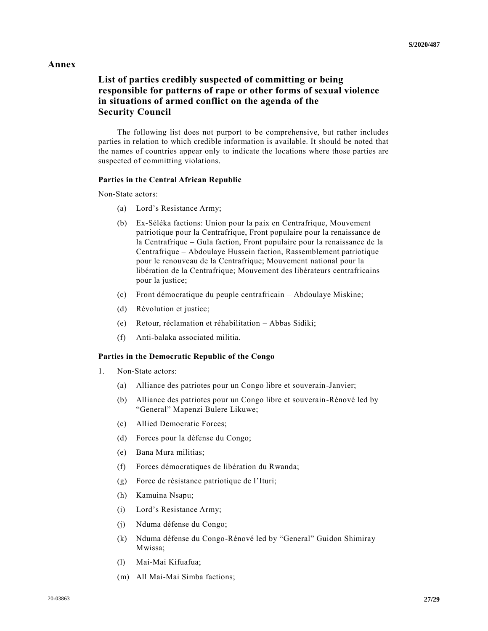## **Annex**

## **List of parties credibly suspected of committing or being responsible for patterns of rape or other forms of sexual violence in situations of armed conflict on the agenda of the Security Council**

The following list does not purport to be comprehensive, but rather includes parties in relation to which credible information is available. It should be noted that the names of countries appear only to indicate the locations where those parties are suspected of committing violations.

#### **Parties in the Central African Republic**

Non-State actors:

- (a) Lord's Resistance Army;
- (b) Ex-Séléka factions: Union pour la paix en Centrafrique, Mouvement patriotique pour la Centrafrique, Front populaire pour la renaissance de la Centrafrique – Gula faction, Front populaire pour la renaissance de la Centrafrique – Abdoulaye Hussein faction, Rassemblement patriotique pour le renouveau de la Centrafrique; Mouvement national pour la libération de la Centrafrique; Mouvement des libérateurs centrafricains pour la justice;
- (c) Front démocratique du peuple centrafricain Abdoulaye Miskine;
- (d) Révolution et justice;
- (e) Retour, réclamation et réhabilitation Abbas Sidiki;
- (f) Anti-balaka associated militia.

### **Parties in the Democratic Republic of the Congo**

- 1. Non-State actors:
	- (a) Alliance des patriotes pour un Congo libre et souverain-Janvier;
	- (b) Alliance des patriotes pour un Congo libre et souverain-Rénové led by "General" Mapenzi Bulere Likuwe;
	- (c) Allied Democratic Forces;
	- (d) Forces pour la défense du Congo;
	- (e) Bana Mura militias;
	- (f) Forces démocratiques de libération du Rwanda;
	- (g) Force de résistance patriotique de l'Ituri;
	- (h) Kamuina Nsapu;
	- (i) Lord's Resistance Army;
	- (j) Nduma défense du Congo;
	- (k) Nduma défense du Congo-Rénové led by "General" Guidon Shimiray Mwissa;
	- (l) Mai-Mai Kifuafua;
	- (m) All Mai-Mai Simba factions;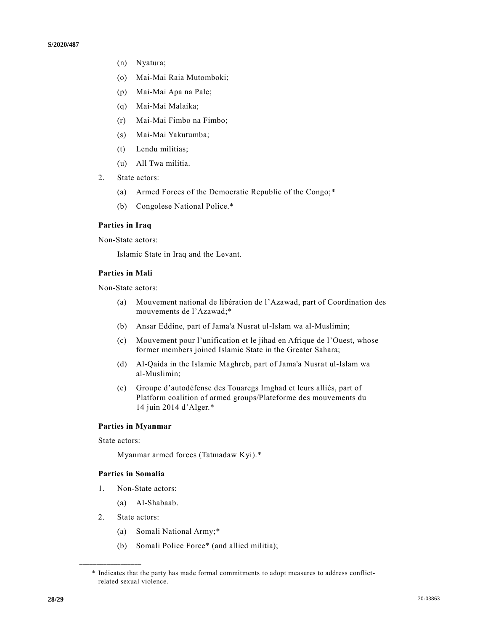- (n) Nyatura;
- (o) Mai-Mai Raia Mutomboki;
- (p) Mai-Mai Apa na Pale;
- (q) Mai-Mai Malaika;
- (r) Mai-Mai Fimbo na Fimbo;
- (s) Mai-Mai Yakutumba;
- (t) Lendu militias;
- (u) All Twa militia.
- 2. State actors:
	- (a) Armed Forces of the Democratic Republic of the Congo;\*
	- (b) Congolese National Police.\*

## **Parties in Iraq**

Non-State actors:

Islamic State in Iraq and the Levant.

### **Parties in Mali**

Non-State actors:

- (a) Mouvement national de libération de l'Azawad, part of Coordination des mouvements de l'Azawad;\*
- (b) Ansar Eddine, part of Jama'a Nusrat ul-Islam wa al-Muslimin;
- (c) Mouvement pour l'unification et le jihad en Afrique de l'Ouest, whose former members joined Islamic State in the Greater Sahara;
- (d) Al-Qaida in the Islamic Maghreb, part of Jama'a Nusrat ul-Islam wa al-Muslimin;
- (e) Groupe d'autodéfense des Touaregs Imghad et leurs alliés, part of Platform coalition of armed groups/Plateforme des mouvements du 14 juin 2014 d'Alger.\*

### **Parties in Myanmar**

State actors:

Myanmar armed forces (Tatmadaw Kyi).\*

### **Parties in Somalia**

- 1. Non-State actors:
	- (a) Al-Shabaab.
- 2. State actors:

**\_\_\_\_\_\_\_\_\_\_\_\_\_\_\_\_\_\_**

- (a) Somali National Army;\*
- (b) Somali Police Force\* (and allied militia);

<sup>\*</sup> Indicates that the party has made formal commitments to adopt measures to address conflictrelated sexual violence.